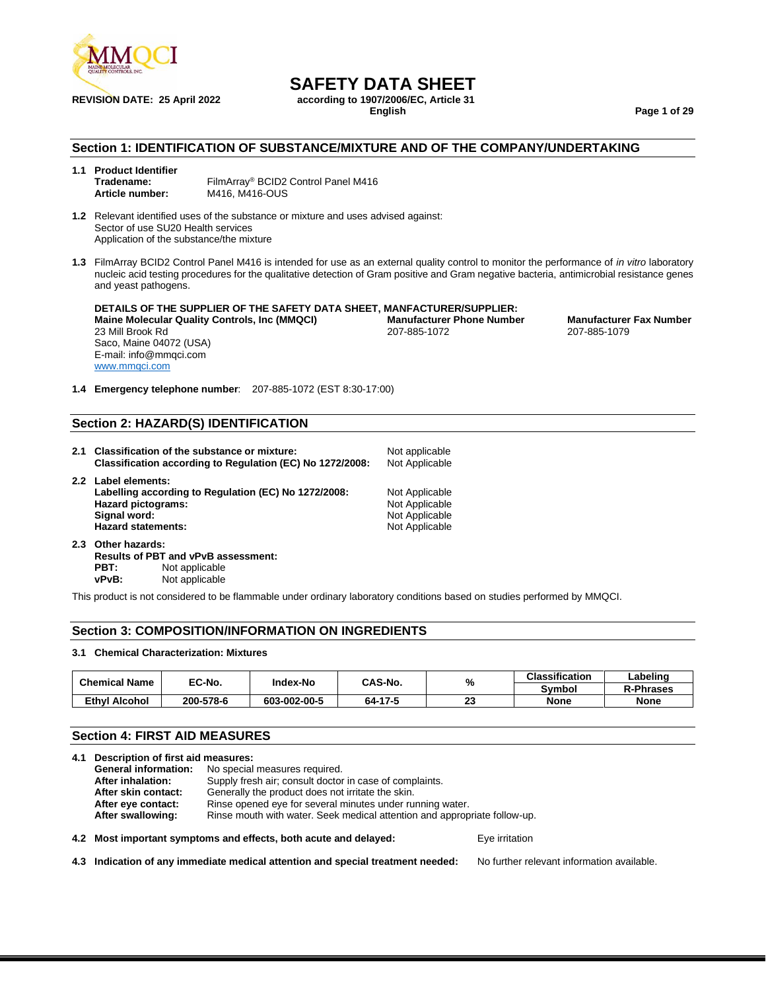

**REVISION DATE: 25 April 2022 according to 1907/2006/EC, Article 31**

**English Page 1 of 29**

#### **Section 1: IDENTIFICATION OF SUBSTANCE/MIXTURE AND OF THE COMPANY/UNDERTAKING**

| 1.1 Product Identifier |                                     |
|------------------------|-------------------------------------|
| Tradename:             | FilmArray® BCID2 Control Panel M416 |
| Article number:        | M416, M416-OUS                      |

**1.2** Relevant identified uses of the substance or mixture and uses advised against: Sector of use SU20 Health services Application of the substance/the mixture

**1.3** FilmArray BCID2 Control Panel M416 is intended for use as an external quality control to monitor the performance of *in vitro* laboratory nucleic acid testing procedures for the qualitative detection of Gram positive and Gram negative bacteria, antimicrobial resistance genes and yeast pathogens.

**DETAILS OF THE SUPPLIER OF THE SAFETY DATA SHEET, MANFACTURER/SUPPLIER: Maine Molecular Quality Controls, Inc (MMQCI) Manufacturer Phone Number Manufacturer Fax Number** 23 Mill Brook Rd Saco, Maine 04072 (USA) E-mail: info@mmqci.com [www.mmqci.com](http://www.mmqci.com/)

**1.4 Emergency telephone number**: 207-885-1072 (EST 8:30-17:00)

#### **Section 2: HAZARD(S) IDENTIFICATION**

- **2.1 Classification of the substance or mixture:** Not applicable<br>**Classification according to Regulation (EC) No 1272/2008:** Not Applicable **Classification according to Regulation (EC) No 1272/2008: 2.2 Label elements:** Labelling according to Regulation (EC) No 1272/2008: Not Applicable **Hazard pictograms:** Not Applicable Signal word: Not Applicable Signal word: Not Applicable Signal word: Not Applicable **Not Applicable** Hazard statements: Not Applicable **2.3 Other hazards:**
- **Results of PBT and vPvB assessment: PBT:** Not applicable<br>vPvB: Not applicable **Not applicable**

This product is not considered to be flammable under ordinary laboratory conditions based on studies performed by MMQCI.

#### **Section 3: COMPOSITION/INFORMATION ON INGREDIENTS**

#### **3.1 Chemical Characterization: Mixtures**

| <b>Chemical Name</b> | EC-No.    | <b>Index-No</b> | CAS-No. | %       | <b>Classification</b> | Labeling         |
|----------------------|-----------|-----------------|---------|---------|-----------------------|------------------|
|                      |           |                 |         |         | Svmbol                | <b>R-Phrases</b> |
| <b>Ethyl Alcohol</b> | 200-578-6 | 603-002-00-5    | 64-17-5 | ົ<br>دے | <b>None</b>           | <b>None</b>      |

#### **Section 4: FIRST AID MEASURES**

|                                                                              | 4.1 Description of first aid measures:                                                         |                                                                  |                |  |  |
|------------------------------------------------------------------------------|------------------------------------------------------------------------------------------------|------------------------------------------------------------------|----------------|--|--|
|                                                                              | <b>General information:</b>                                                                    | No special measures required.                                    |                |  |  |
| Supply fresh air; consult doctor in case of complaints.<br>After inhalation: |                                                                                                |                                                                  |                |  |  |
|                                                                              | After skin contact:                                                                            | Generally the product does not irritate the skin.                |                |  |  |
|                                                                              | After eye contact:                                                                             | Rinse opened eye for several minutes under running water.        |                |  |  |
|                                                                              | Rinse mouth with water. Seek medical attention and appropriate follow-up.<br>After swallowing: |                                                                  |                |  |  |
|                                                                              |                                                                                                | 4.2 Most important symptoms and effects, both acute and delayed: | Eve irritation |  |  |

**4.3 Indication of any immediate medical attention and special treatment needed:** No further relevant information available.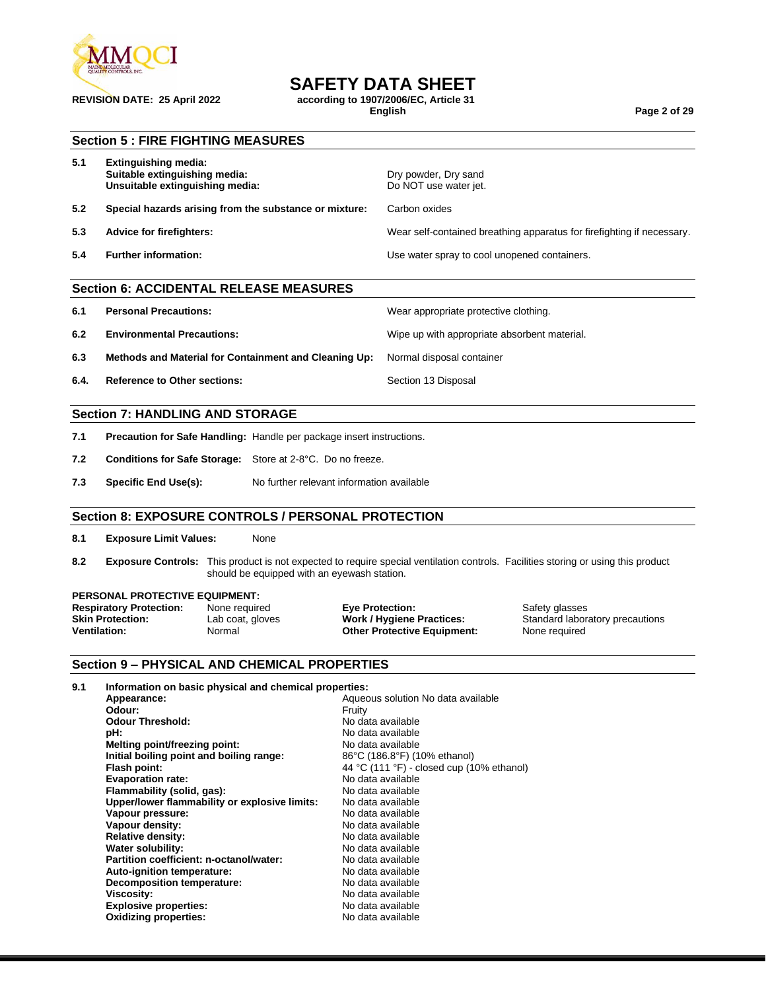

**REVISION DATE: 25 April 2022 according to 1907/2006/EC, Article 31**

**English Page 2 of 29**

#### **Section 5 : FIRE FIGHTING MEASURES**

| 5.1 | Extinguishing media:<br>Suitable extinguishing media:<br>Unsuitable extinguishing media: | Dry powder, Dry sand<br>Do NOT use water jet.                          |
|-----|------------------------------------------------------------------------------------------|------------------------------------------------------------------------|
| 5.2 | Special hazards arising from the substance or mixture:                                   | Carbon oxides                                                          |
| 5.3 | Advice for firefighters:                                                                 | Wear self-contained breathing apparatus for firefighting if necessary. |
| 5.4 | <b>Further information:</b>                                                              | Use water spray to cool unopened containers.                           |

#### **Section 6: ACCIDENTAL RELEASE MEASURES**

- **6.1 Personal Precautions:** Wear appropriate protective clothing.
- **6.2 Environmental Precautions:** Wipe up with appropriate absorbent material.
- **6.3 Methods and Material for Containment and Cleaning Up:** Normal disposal container
- **6.4. Reference to Other sections: Section 13 Disposal**

#### **Section 7: HANDLING AND STORAGE**

- **7.1 Precaution for Safe Handling:** Handle per package insert instructions.
- **7.2 Conditions for Safe Storage:** Store at 2-8°C. Do no freeze.
- **7.3 Specific End Use(s):** No further relevant information available

#### **Section 8: EXPOSURE CONTROLS / PERSONAL PROTECTION**

- **8.1 Exposure Limit Values:** None
- **8.2 Exposure Controls:** This product is not expected to require special ventilation controls. Facilities storing or using this product should be equipped with an eyewash station.

## **PERSONAL PROTECTIVE EQUIPMENT:**<br>**Respiratory Protection:** None required

**Respiratory Protection:** None required **Eye Protection: Execution:** Safety glasses<br> **Skin Protection:** Lab coat, gloves **Work / Hygiene Practices:** Standard labora **Skin Protection:** Lab coat, gloves **Work / Hygiene Practices:** Standard laboratory precautions **Ventilation:** Normal **Other Protective Equipment:** None required

#### **Section 9 – PHYSICAL AND CHEMICAL PROPERTIES**

| 9.1 | Information on basic physical and chemical properties: |                                           |  |  |
|-----|--------------------------------------------------------|-------------------------------------------|--|--|
|     | Appearance:                                            | Aqueous solution No data available        |  |  |
|     | Odour:                                                 | Fruity                                    |  |  |
|     | <b>Odour Threshold:</b>                                | No data available                         |  |  |
|     | pH:                                                    | No data available                         |  |  |
|     | Melting point/freezing point:                          | No data available                         |  |  |
|     | Initial boiling point and boiling range:               | 86°C (186.8°F) (10% ethanol)              |  |  |
|     | Flash point:                                           | 44 °C (111 °F) - closed cup (10% ethanol) |  |  |
|     | <b>Evaporation rate:</b>                               | No data available                         |  |  |
|     | Flammability (solid, gas):                             | No data available                         |  |  |
|     | Upper/lower flammability or explosive limits:          | No data available                         |  |  |
|     | Vapour pressure:                                       | No data available                         |  |  |
|     | Vapour density:                                        | No data available                         |  |  |
|     | <b>Relative density:</b>                               | No data available                         |  |  |
|     | Water solubility:                                      | No data available                         |  |  |
|     | Partition coefficient: n-octanol/water:                | No data available                         |  |  |
|     | Auto-ignition temperature:                             | No data available                         |  |  |
|     | <b>Decomposition temperature:</b>                      | No data available                         |  |  |
|     | <b>Viscosity:</b>                                      | No data available                         |  |  |
|     | <b>Explosive properties:</b>                           | No data available                         |  |  |
|     | <b>Oxidizing properties:</b>                           | No data available                         |  |  |
|     |                                                        |                                           |  |  |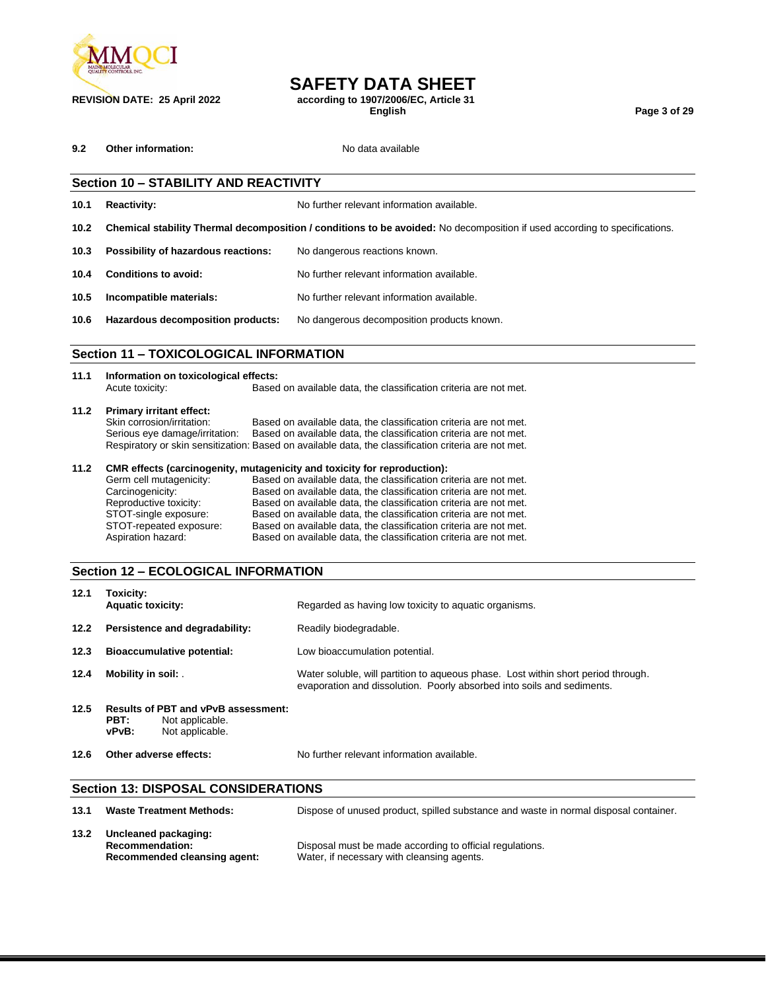

**REVISION DATE: 25 April 2022 according to 1907/2006/EC, Article 31**

**English Page 3 of 29**

**9.2 Other information:** No data available

## **Section 10 – STABILITY AND REACTIVITY 10.1 Reactivity:** No further relevant information available. **10.2 Chemical stability Thermal decomposition / conditions to be avoided:** No decomposition if used according to specifications. **10.3 Possibility of hazardous reactions:** No dangerous reactions known. **10.4 Conditions to avoid:** No further relevant information available. **10.5 Incompatible materials:** No further relevant information available. **10.6 Hazardous decomposition products:** No dangerous decomposition products known. **Section 11 – TOXICOLOGICAL INFORMATION**

#### **11.1 Information on toxicological effects:** Acute toxicity: Based on available data, the classification criteria are not met. **11.2 Primary irritant effect:** Skin corrosion/irritation: Based on available data, the classification criteria are not met.<br>Serious eye damage/irritation: Based on available data, the classification criteria are not met. Based on available data, the classification criteria are not met. Respiratory or skin sensitization: Based on available data, the classification criteria are not met.

#### **11.2 CMR effects (carcinogenity, mutagenicity and toxicity for reproduction):**

| Germ cell mutagenicity:<br>Carcinogenicity:<br>Reproductive toxicity:<br>STOT-single exposure:<br>STOT-repeated exposure: | Based on available data, the classification criteria are not met.<br>Based on available data, the classification criteria are not met.<br>Based on available data, the classification criteria are not met.<br>Based on available data, the classification criteria are not met.<br>Based on available data, the classification criteria are not met. |
|---------------------------------------------------------------------------------------------------------------------------|-------------------------------------------------------------------------------------------------------------------------------------------------------------------------------------------------------------------------------------------------------------------------------------------------------------------------------------------------------|
| Aspiration hazard:                                                                                                        | Based on available data, the classification criteria are not met.                                                                                                                                                                                                                                                                                     |
|                                                                                                                           |                                                                                                                                                                                                                                                                                                                                                       |

#### **Section 12 – ECOLOGICAL INFORMATION**

| 12.1 | Toxicity:<br><b>Aquatic toxicity:</b>                                                             |  | Regarded as having low toxicity to aquatic organisms.                                                                                                       |
|------|---------------------------------------------------------------------------------------------------|--|-------------------------------------------------------------------------------------------------------------------------------------------------------------|
| 12.2 | Persistence and degradability:                                                                    |  | Readily biodegradable.                                                                                                                                      |
| 12.3 | <b>Bioaccumulative potential:</b>                                                                 |  | Low bioaccumulation potential.                                                                                                                              |
| 12.4 | Mobility in soil: .                                                                               |  | Water soluble, will partition to aqueous phase. Lost within short period through.<br>evaporation and dissolution. Poorly absorbed into soils and sediments. |
| 12.5 | <b>Results of PBT and vPvB assessment:</b><br>PBT:<br>Not applicable.<br>vPvB:<br>Not applicable. |  |                                                                                                                                                             |
| 12.6 | Other adverse effects:                                                                            |  | No further relevant information available.                                                                                                                  |

#### **Section 13: DISPOSAL CONSIDERATIONS**

| 13.1 | <b>Waste Treatment Methods:</b>                                                | Dispose of unused product, spilled substance and waste in normal disposal container.                   |
|------|--------------------------------------------------------------------------------|--------------------------------------------------------------------------------------------------------|
| 13.2 | Uncleaned packaging:<br><b>Recommendation:</b><br>Recommended cleansing agent: | Disposal must be made according to official regulations.<br>Water, if necessary with cleansing agents. |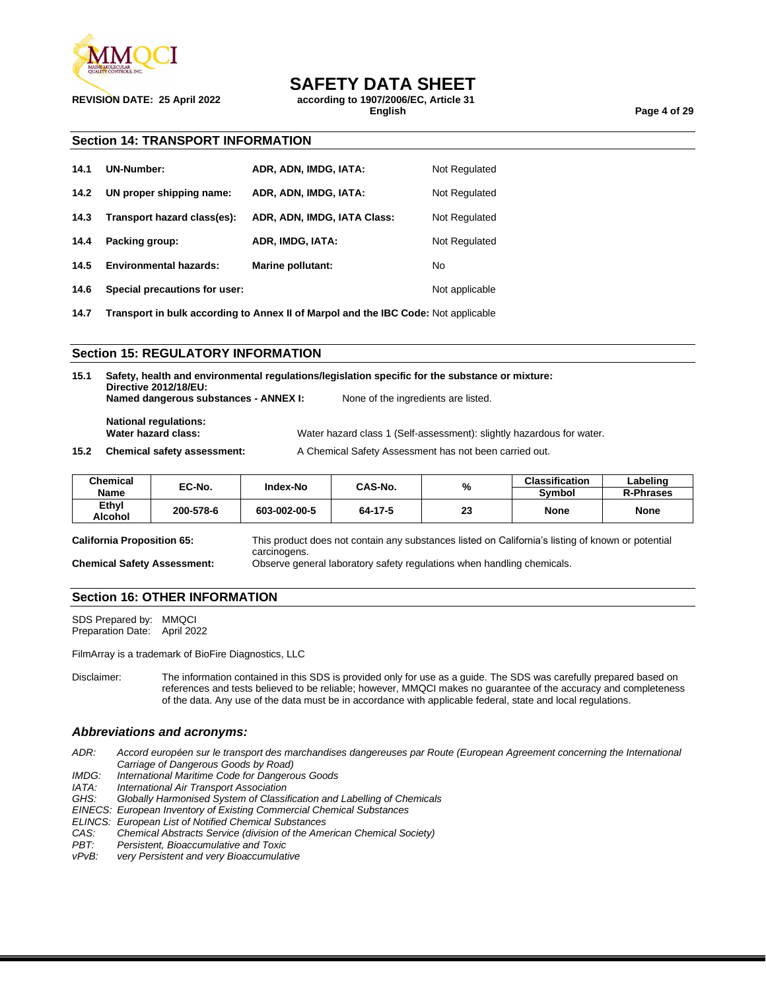

**REVISION DATE: 25 April 2022 according to 1907/2006/EC, Article 31**

**English Page 4 of 29**

#### **Section 14: TRANSPORT INFORMATION**

| 14.1 | UN-Number:                    | ADR, ADN, IMDG, IATA:       | Not Regulated  |
|------|-------------------------------|-----------------------------|----------------|
| 14.2 | UN proper shipping name:      | ADR, ADN, IMDG, IATA:       | Not Regulated  |
| 14.3 | Transport hazard class(es):   | ADR, ADN, IMDG, IATA Class: | Not Regulated  |
| 14.4 | Packing group:                | ADR, IMDG, IATA:            | Not Regulated  |
| 14.5 | <b>Environmental hazards:</b> | Marine pollutant:           | No             |
| 14.6 | Special precautions for user: |                             | Not applicable |

**14.7 Transport in bulk according to Annex II of Marpol and the IBC Code:** Not applicable

#### **Section 15: REGULATORY INFORMATION**

| 15.1 | Safety, health and environmental regulations/legislation specific for the substance or mixture:<br>Directive 2012/18/EU: |                                                                       |  |  |
|------|--------------------------------------------------------------------------------------------------------------------------|-----------------------------------------------------------------------|--|--|
|      | Named dangerous substances - ANNEX I:                                                                                    | None of the ingredients are listed.                                   |  |  |
|      | <b>National regulations:</b>                                                                                             |                                                                       |  |  |
|      | Water hazard class:                                                                                                      | Water hazard class 1 (Self-assessment): slightly hazardous for water. |  |  |
| 15.2 | <b>Chemical safety assessment:</b>                                                                                       | A Chemical Safety Assessment has not been carried out.                |  |  |

| <b>Chemical</b><br>Name | EC-No.    | Index-No     | CAS-No. | %  | <b>Classification</b><br>Symbol | ∟abelinɑ<br><b>R-Phrases</b> |
|-------------------------|-----------|--------------|---------|----|---------------------------------|------------------------------|
| Ethyl<br>Alcohol        | 200-578-6 | 603-002-00-5 | 64-17-5 | 23 | <b>None</b>                     | <b>None</b>                  |

**California Proposition 65:** This product does not contain any substances listed on California's listing of known or potential carcinogens. **Chemical Safety Assessment:** Observe general laboratory safety regulations when handling chemicals.

#### **Section 16: OTHER INFORMATION**

SDS Prepared by: MMQCI Preparation Date: April 2022

FilmArray is a trademark of BioFire Diagnostics, LLC

Disclaimer: The information contained in this SDS is provided only for use as a guide. The SDS was carefully prepared based on references and tests believed to be reliable; however, MMQCI makes no guarantee of the accuracy and completeness of the data. Any use of the data must be in accordance with applicable federal, state and local regulations.

#### *Abbreviations and acronyms:*

- *ADR: Accord européen sur le transport des marchandises dangereuses par Route (European Agreement concerning the International Carriage of Dangerous Goods by Road)*
- *IMDG: International Maritime Code for Dangerous Goods*

**International Air Transport Association** 

*GHS: Globally Harmonised System of Classification and Labelling of Chemicals*

*EINECS: European Inventory of Existing Commercial Chemical Substances*

*ELINCS: European List of Notified Chemical Substances*

- *CAS: Chemical Abstracts Service (division of the American Chemical Society)*
- *PBT: Persistent, Bioaccumulative and Toxic*
- *very Persistent and very Bioaccumulative*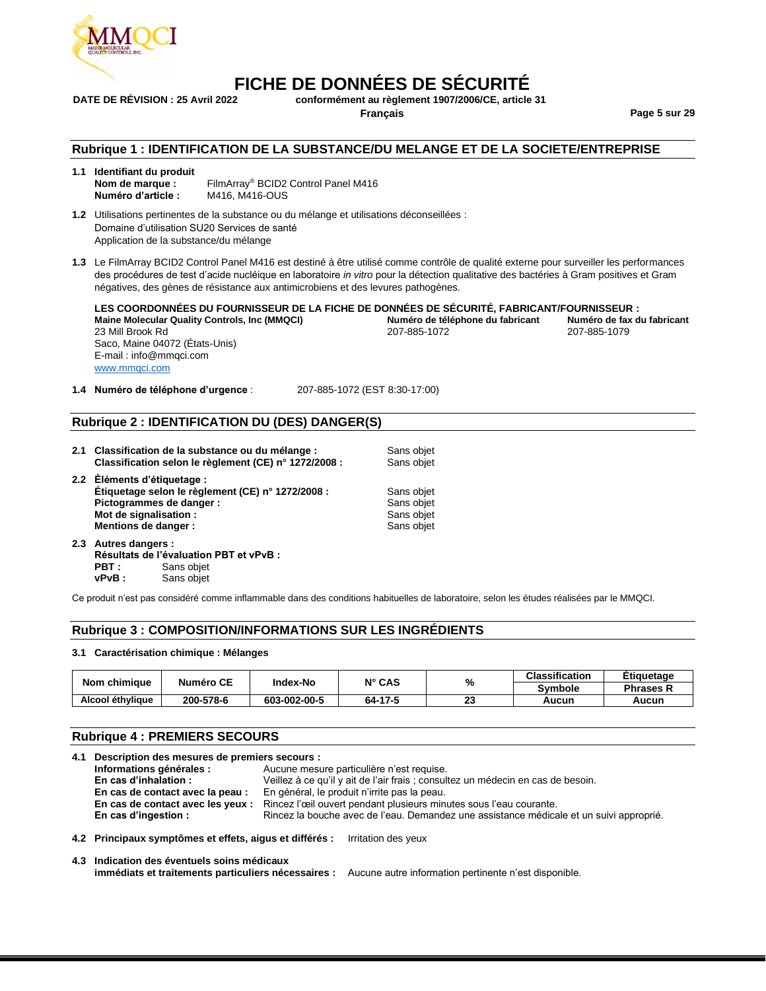

## **FICHE DE DONNÉES DE SÉCURITÉ**<br>DATE DE RÉVISION : 25 Avril 2022 conformément au règlement 1907/2006/CE. article

**DATE DE RÉVISION : 25 Avril 2022 conformément au règlement 1907/2006/CE, article 31**

**Français Page 5 sur 29**

#### **Rubrique 1 : IDENTIFICATION DE LA SUBSTANCE/DU MELANGE ET DE LA SOCIETE/ENTREPRISE**

| 1.1 | Identifiant du produit |                                                 |
|-----|------------------------|-------------------------------------------------|
|     | Nom de marque :        | FilmArray <sup>®</sup> BCID2 Control Panel M416 |
|     | Numéro d'article :     | M416, M416-OUS                                  |

**1.2** Utilisations pertinentes de la substance ou du mélange et utilisations déconseillées : Domaine d'utilisation SU20 Services de santé Application de la substance/du mélange

**1.3** Le FilmArray BCID2 Control Panel M416 est destiné à être utilisé comme contrôle de qualité externe pour surveiller les performances des procédures de test d'acide nucléique en laboratoire *in vitro* pour la détection qualitative des bactéries à Gram positives et Gram négatives, des gènes de résistance aux antimicrobiens et des levures pathogènes.

**LES COORDONNÉES DU FOURNISSEUR DE LA FICHE DE DONNÉES DE SÉCURITÉ, FABRICANT/FOURNISSEUR : Maine Molecular Quality Controls, Inc (MMQCI) Numéro de téléphone du fabricant Numéro de fax du fabricant** 23 Mill Brook Rd Saco, Maine 04072 (États-Unis) E-mail : info@mmqci.com [www.mmqci.com](http://www.mmqci.com/)

**1.4 Numéro de téléphone d'urgence** : 207-885-1072 (EST 8:30-17:00)

#### **Rubrique 2 : IDENTIFICATION DU (DES) DANGER(S)**

| 2.1 Classification de la substance ou du mélange :<br>Classification selon le règlement (CE) n° 1272/2008 :  | Sans objet<br>Sans objet |
|--------------------------------------------------------------------------------------------------------------|--------------------------|
| 2.2 Éléments d'étiquetage :<br>Étiquetage selon le règlement (CE) n° 1272/2008 :<br>Pictogrammes de danger : | Sans objet<br>Sans objet |
| Mot de signalisation :<br>Mentions de danger :                                                               | Sans objet<br>Sans objet |
|                                                                                                              |                          |

**2.3 Autres dangers : Résultats de l'évaluation PBT et vPvB : PBT** : Sans objet<br>**vPvB** : Sans objet Sans objet

Ce produit n'est pas considéré comme inflammable dans des conditions habituelles de laboratoire, selon les études réalisées par le MMQCI.

#### **Rubrique 3 : COMPOSITION/INFORMATIONS SUR LES INGRÉDIENTS**

#### **3.1 Caractérisation chimique : Mélanges**

| Nom chimique     |           | Numéro CE<br>Index-No | $N^{\circ}$ CAS | %         | <b>Classification</b> | Etiguetage       |
|------------------|-----------|-----------------------|-----------------|-----------|-----------------------|------------------|
|                  |           |                       |                 |           | <b>Symbole</b>        | <b>Phrases R</b> |
| Alcool éthylique | 200-578-6 | 603-002-00-5          | 64-17-5         | nn.<br>23 | Aucun                 | Aucun            |

#### **Rubrique 4 : PREMIERS SECOURS**

| 4.1 Description des mesures de premiers secours :       |                                                                                         |  |  |
|---------------------------------------------------------|-----------------------------------------------------------------------------------------|--|--|
| Informations générales :                                | Aucune mesure particulière n'est requise.                                               |  |  |
| En cas d'inhalation :                                   | Veillez à ce qu'il y ait de l'air frais ; consultez un médecin en cas de besoin.        |  |  |
| En cas de contact avec la peau :                        | En général, le produit n'irrite pas la peau.                                            |  |  |
| En cas de contact avec les yeux :                       | Rincez l'œil ouvert pendant plusieurs minutes sous l'eau courante.                      |  |  |
| En cas d'ingestion :                                    | Rincez la bouche avec de l'eau. Demandez une assistance médicale et un suivi approprié. |  |  |
| 4.2 Principaux symptômes et effets, aigus et différés : | Irritation des yeux                                                                     |  |  |
| 4.3 Indication des éventuels soins médicaux             |                                                                                         |  |  |

| 4.3 Indication des éventuels soins médicaux                                                               |  |
|-----------------------------------------------------------------------------------------------------------|--|
| immédiats et traitements particuliers nécessaires : Aucune autre information pertinente n'est disponible. |  |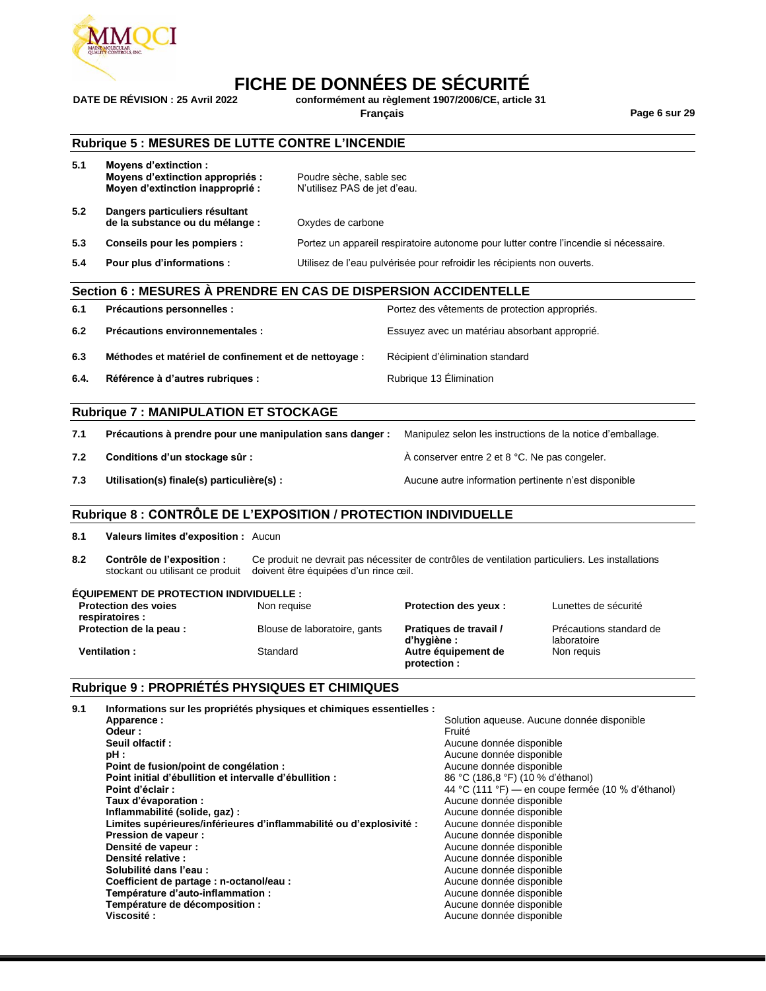

# **FICHE DE DONNÉES DE SÉCURITÉ**<br>DATE DE RÉVISION : 25 Avril 2022 conformément au règlement 1907/2006/CE. article

**DATE DE RÉVISION : 25 Avril 2022 conformément au règlement 1907/2006/CE, article 31**

**Français Page 6 sur 29**

#### **Rubrique 5 : MESURES DE LUTTE CONTRE L'INCENDIE**

| 5.1 | Moyens d'extinction :<br>Moyens d'extinction appropriés :<br>Moyen d'extinction inapproprié : | Poudre sèche, sable sec<br>N'utilisez PAS de jet d'eau.                               |
|-----|-----------------------------------------------------------------------------------------------|---------------------------------------------------------------------------------------|
| 5.2 | Dangers particuliers résultant<br>de la substance ou du mélange :                             | Oxydes de carbone                                                                     |
| 5.3 | Conseils pour les pompiers :                                                                  | Portez un appareil respiratoire autonome pour lutter contre l'incendie si nécessaire. |
| 5.4 | Pour plus d'informations :                                                                    | Utilisez de l'eau pulvérisée pour refroidir les récipients non ouverts.               |

#### **Section 6 : MESURES À PRENDRE EN CAS DE DISPERSION ACCIDENTELLE**

| 6.1  | Précautions personnelles :                            | Portez des vêtements de protection appropriés. |
|------|-------------------------------------------------------|------------------------------------------------|
| 6.2  | Précautions environnementales :                       | Essuyez avec un matériau absorbant approprié.  |
| 6.3  | Méthodes et matériel de confinement et de nettoyage : | Récipient d'élimination standard               |
| 6.4. | Référence à d'autres rubriques :                      | Rubrique 13 Elimination                        |

#### **Rubrique 7 : MANIPULATION ET STOCKAGE**

| 7.1 | Précautions à prendre pour une manipulation sans danger : | Manipulez selon les instructions de la notice d'emballage. |
|-----|-----------------------------------------------------------|------------------------------------------------------------|
| 7.2 | Conditions d'un stockage sûr :                            | $\AA$ conserver entre 2 et 8 °C. Ne pas congeler.          |
| 7.3 | Utilisation(s) finale(s) particulière(s) :                | Aucune autre information pertinente n'est disponible       |

#### **Rubrique 8 : CONTRÔLE DE L'EXPOSITION / PROTECTION INDIVIDUELLE**

**8.1 Valeurs limites d'exposition :** Aucun

**8.2 Contrôle de l'exposition :** Ce produit ne devrait pas nécessiter de contrôles de ventilation particuliers. Les installations stockant ou utilisant ce produit doivent être équipées d'un rince œil.

| <b>EQUIPEMENT DE PROTECTION INDIVIDUELLE :</b> |                              |                                       |                                        |
|------------------------------------------------|------------------------------|---------------------------------------|----------------------------------------|
| <b>Protection des voies</b><br>respiratoires : | Non requise                  | <b>Protection des yeux:</b>           | Lunettes de sécurité                   |
| Protection de la peau :                        | Blouse de laboratoire, gants | Pratiques de travail /<br>d'hygiène : | Précautions standard de<br>laboratoire |
| <b>Ventilation:</b>                            | Standard                     | Autre équipement de<br>protection :   | Non reguis                             |

#### **Rubrique 9 : PROPRIÉTÉS PHYSIQUES ET CHIMIQUES**

| 9.1 | Informations sur les propriétés physiques et chimiques essentielles : |                                                   |
|-----|-----------------------------------------------------------------------|---------------------------------------------------|
|     | Apparence:                                                            | Solution aqueuse. Aucune donnée disponible        |
|     | Odeur :                                                               | Fruité                                            |
|     | Seuil olfactif:                                                       | Aucune donnée disponible                          |
|     | pH:                                                                   | Aucune donnée disponible                          |
|     | Point de fusion/point de congélation :                                | Aucune donnée disponible                          |
|     | Point initial d'ébullition et intervalle d'ébullition :               | 86 °C (186,8 °F) (10 % d'éthanol)                 |
|     | Point d'éclair:                                                       | 44 °C (111 °F) — en coupe fermée (10 % d'éthanol) |
|     | Taux d'évaporation :                                                  | Aucune donnée disponible                          |
|     | Inflammabilité (solide, gaz) :                                        | Aucune donnée disponible                          |
|     | Limites supérieures/inférieures d'inflammabilité ou d'explosivité :   | Aucune donnée disponible                          |
|     | Pression de vapeur :                                                  | Aucune donnée disponible                          |
|     | Densité de vapeur :                                                   | Aucune donnée disponible                          |
|     | Densité relative :                                                    | Aucune donnée disponible                          |
|     | Solubilité dans l'eau :                                               | Aucune donnée disponible                          |
|     | Coefficient de partage : n-octanol/eau :                              | Aucune donnée disponible                          |
|     | Température d'auto-inflammation :                                     | Aucune donnée disponible                          |
|     | Température de décomposition :                                        | Aucune donnée disponible                          |
|     | Viscosité:                                                            | Aucune donnée disponible                          |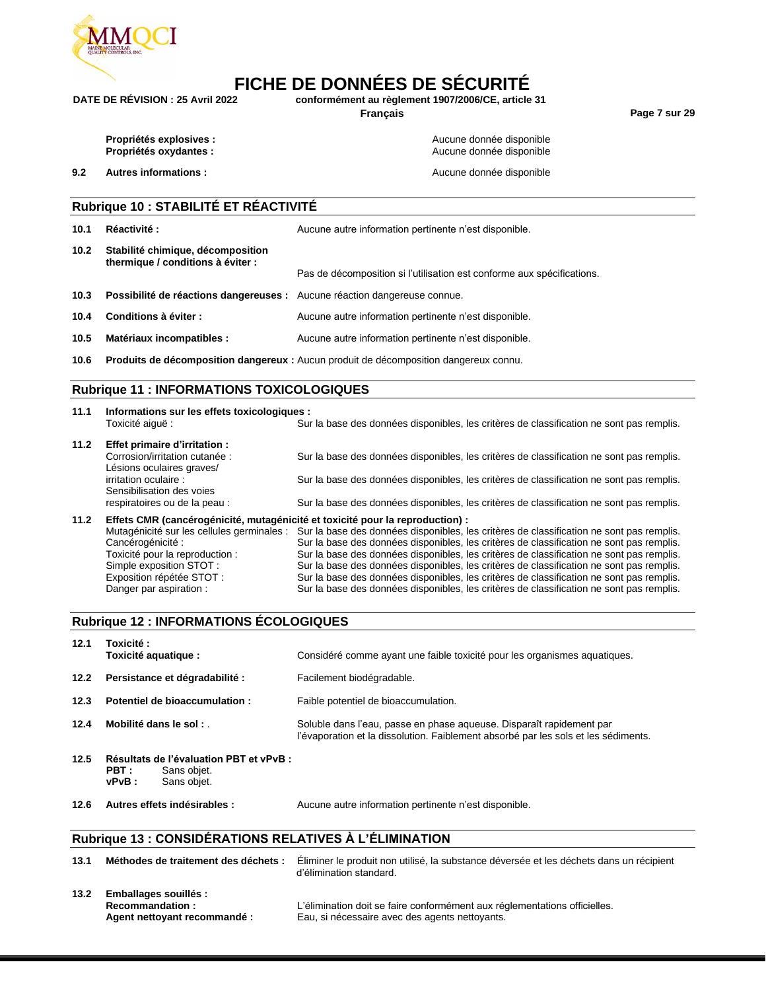

### **FICHE DE DONNÉES DE SÉCURITÉ**<br>DATE DE RÉVISION : 25 Avril 2022 conformément au règlement 1907/2006/CE. article **DATE DE RÉVISION : 25 Avril 2022 conformément au règlement 1907/2006/CE, article 31**

**Français Page 7 sur 29**

**9.2 Autres informations :** Aucune donnée disponible

**Propriétés explosives :**  $\qquad \qquad \qquad$  **Propriétés explosives :**  $\qquad \qquad \qquad$  Aucune donnée disponible **Propriétés oxydantes :**  $\qquad \qquad \qquad$  Aucune donnée disponible

|      | <b>Rubrique 10 : STABILITÉ ET RÉACTIVITÉ</b>                              |                                                                                          |  |  |  |
|------|---------------------------------------------------------------------------|------------------------------------------------------------------------------------------|--|--|--|
| 10.1 | Réactivité:                                                               | Aucune autre information pertinente n'est disponible.                                    |  |  |  |
| 10.2 | Stabilité chimique, décomposition<br>thermique / conditions à éviter :    | Pas de décomposition si l'utilisation est conforme aux spécifications.                   |  |  |  |
| 10.3 | Possibilité de réactions dangereuses : Aucune réaction dangereuse connue. |                                                                                          |  |  |  |
| 10.4 | Conditions à éviter :                                                     | Aucune autre information pertinente n'est disponible.                                    |  |  |  |
| 10.5 | Matériaux incompatibles :                                                 | Aucune autre information pertinente n'est disponible.                                    |  |  |  |
| 10.6 |                                                                           | Produits de décomposition dangereux : Aucun produit de décomposition dangereux connu.    |  |  |  |
|      | <b>Rubrique 11: INFORMATIONS TOXICOLOGIQUES</b>                           |                                                                                          |  |  |  |
| 11.1 | Informations sur les effets toxicologiques :<br>Toxicité aiquë :          | Sur la base des données disponibles, les critères de classification ne sont pas remplis. |  |  |  |

**11.2 Effet primaire d'irritation :** Sur la base des données disponibles, les critères de classification ne sont pas remplis. Lésions oculaires graves/<br>irritation oculaire : Sur la base des données disponibles, les critères de classification ne sont pas remplis. Sensibilisation des voies respiratoires ou de la peau : Sur la base des données disponibles, les critères de classification ne sont pas remplis. **11.2 Effets CMR (cancérogénicité, mutagénicité et toxicité pour la reproduction) :**

Mutagénicité sur les cellules germinales : Sur la base des données disponibles, les critères de classification ne sont pas remplis.<br>Cancérogénicité : Sur la base des données disponibles, les critères de classification ne s Sur la base des données disponibles, les critères de classification ne sont pas remplis. Toxicité pour la reproduction : Sur la base des données disponibles, les critères de classification ne sont pas remplis.<br>Simple exposition STOT : Simple exposition our la base des données disponibles, les critères de class Sur la base des données disponibles, les critères de classification ne sont pas remplis. Exposition répétée STOT : Sur la base des données disponibles, les critères de classification ne sont pas remplis. Danger par aspiration : Sur la base des données disponibles, les critères de classification ne sont pas remplis.

#### **Rubrique 12 : INFORMATIONS ÉCOLOGIQUES**

| 12.1 | Toxicité :<br>Toxicité aquatique :                                                      | Considéré comme ayant une faible toxicité pour les organismes aquatiques.                                                                                  |
|------|-----------------------------------------------------------------------------------------|------------------------------------------------------------------------------------------------------------------------------------------------------------|
| 12.2 | Persistance et dégradabilité :                                                          | Facilement biodégradable.                                                                                                                                  |
| 12.3 | Potentiel de bioaccumulation :                                                          | Faible potentiel de bioaccumulation.                                                                                                                       |
| 12.4 | Mobilité dans le sol :                                                                  | Soluble dans l'eau, passe en phase aqueuse. Disparaît rapidement par<br>l'évaporation et la dissolution. Faiblement absorbé par les sols et les sédiments. |
| 12.5 | Résultats de l'évaluation PBT et vPvB :<br>PBT :<br>Sans objet.<br>Sans objet.<br>vPvB: |                                                                                                                                                            |
| 12.6 | Autres effets indésirables :                                                            | Aucune autre information pertinente n'est disponible.                                                                                                      |

#### **Rubrique 13 : CONSIDÉRATIONS RELATIVES À L'ÉLIMINATION**

| 13.1 | Méthodes de traitement des déchets :                                     | Éliminer le produit non utilisé, la substance déversée et les déchets dans un récipient<br>d'élimination standard.          |
|------|--------------------------------------------------------------------------|-----------------------------------------------------------------------------------------------------------------------------|
| 13.2 | Emballages souillés :<br>Recommandation:<br>Agent nettoyant recommandé : | L'élimination doit se faire conformément aux réglementations officielles.<br>Eau, si nécessaire avec des agents nettoyants. |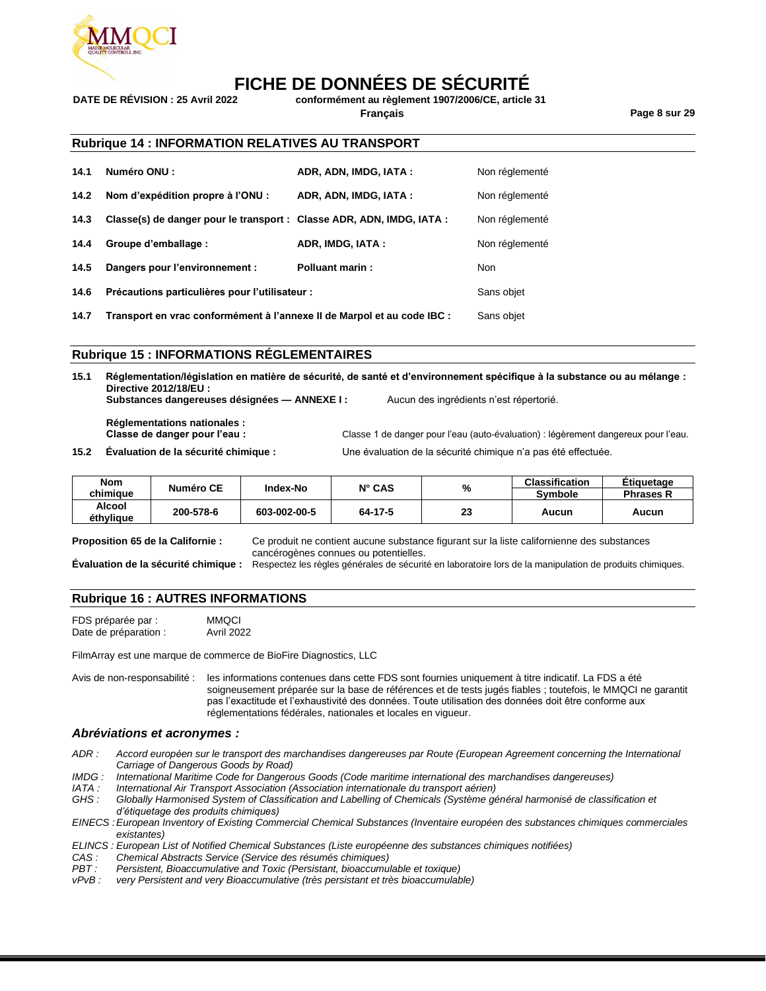

# **FICHE DE DONNÉES DE SÉCURITÉ**<br>DATE DE RÉVISION : 25 Avril 2022 conformément au règlement 1907/2006/CE. article

**DATE DE RÉVISION : 25 Avril 2022 conformément au règlement 1907/2006/CE, article 31 Français Page 8 sur 29**

#### **Rubrique 14 : INFORMATION RELATIVES AU TRANSPORT**

| 14.1 | Numéro ONU :                                                          | ADR, ADN, IMDG, IATA: | Non réglementé |
|------|-----------------------------------------------------------------------|-----------------------|----------------|
| 14.2 | Nom d'expédition propre à l'ONU :                                     | ADR, ADN, IMDG, IATA: | Non réglementé |
| 14.3 | Classe(s) de danger pour le transport : Classe ADR, ADN, IMDG, IATA : |                       | Non réglementé |
| 14.4 | Groupe d'emballage :                                                  | ADR, IMDG, IATA:      | Non réglementé |
| 14.5 | Dangers pour l'environnement :                                        | Polluant marin:       | <b>Non</b>     |
| 14.6 | Précautions particulières pour l'utilisateur :                        |                       | Sans objet     |

**14.7 Transport en vrac conformément à l'annexe II de Marpol et au code IBC :** Sans objet

#### **Rubrique 15 : INFORMATIONS RÉGLEMENTAIRES**

**15.1 Réglementation/législation en matière de sécurité, de santé et d'environnement spécifique à la substance ou au mélange : Directive 2012/18/EU : Substances dangereuses désignées — ANNEXE I :** Aucun des ingrédients n'est répertorié.

**Réglementations nationales : Classe de danger pour l'eau :** Classe 1 de danger pour l'eau (auto-évaluation) : légèrement dangereux pour l'eau.

**15.2 Évaluation de la sécurité chimique :** Une évaluation de la sécurité chimique n'a pas été effectuée.

| <b>Nom</b>          | Numéro CE | <b>Index-No</b> | $N^{\circ}$ CAS | %  | <b>Classification</b> | Etiquetage       |
|---------------------|-----------|-----------------|-----------------|----|-----------------------|------------------|
| chimiaue            |           |                 |                 |    | <b>Symbole</b>        | <b>Phrases R</b> |
| Alcool<br>éthylique | 200-578-6 | 603-002-00-5    | 64-17-5         | 23 | Aucun                 | Aucun            |

**Proposition 65 de la Californie :** Ce produit ne contient aucune substance figurant sur la liste californienne des substances cancérogènes connues ou potentielles.

**Évaluation de la sécurité chimique :** Respectez les règles générales de sécurité en laboratoire lors de la manipulation de produits chimiques.

#### **Rubrique 16 : AUTRES INFORMATIONS**

FDS préparée par : MMQCI<br>Date de préparation : Avril 2022 Date de préparation :

FilmArray est une marque de commerce de BioFire Diagnostics, LLC

Avis de non-responsabilité : les informations contenues dans cette FDS sont fournies uniquement à titre indicatif. La FDS a été soigneusement préparée sur la base de références et de tests jugés fiables ; toutefois, le MMQCI ne garantit pas l'exactitude et l'exhaustivité des données. Toute utilisation des données doit être conforme aux réglementations fédérales, nationales et locales en vigueur.

#### *Abréviations et acronymes :*

- *ADR : Accord européen sur le transport des marchandises dangereuses par Route (European Agreement concerning the International Carriage of Dangerous Goods by Road)*
- *IMDG : International Maritime Code for Dangerous Goods (Code maritime international des marchandises dangereuses)*
- *IATA : International Air Transport Association (Association internationale du transport aérien)*
- *GHS : Globally Harmonised System of Classification and Labelling of Chemicals (Système général harmonisé de classification et d'étiquetage des produits chimiques)*
- *EINECS :European Inventory of Existing Commercial Chemical Substances (Inventaire européen des substances chimiques commerciales existantes)*
- *ELINCS : European List of Notified Chemical Substances (Liste européenne des substances chimiques notifiées)*
- *CAS : Chemical Abstracts Service (Service des résumés chimiques)*
- *PBT : Persistent, Bioaccumulative and Toxic (Persistant, bioaccumulable et toxique)*
- *vPvB : very Persistent and very Bioaccumulative (très persistant et très bioaccumulable)*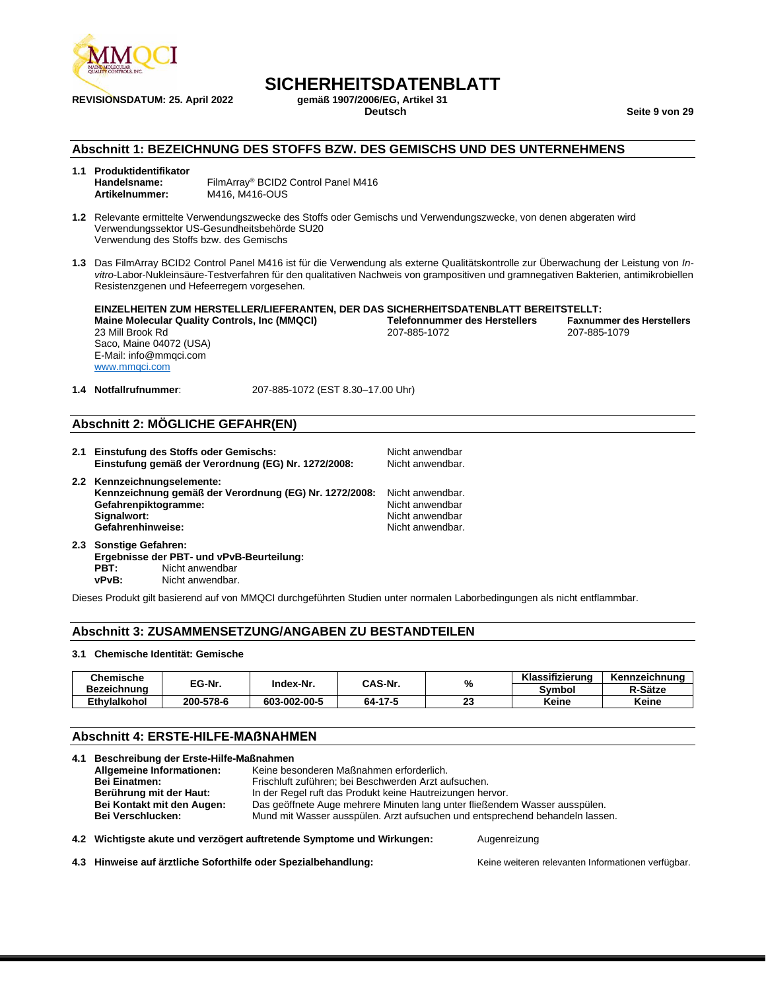

**REVISIONSDATUM: 25. April 2022** 

## **SICHERHEITSDATENBLATT**<br>gemäß 1907/2006/EG. Artikel 31

**Deutsch Seite 9 von 29**

#### **Abschnitt 1: BEZEICHNUNG DES STOFFS BZW. DES GEMISCHS UND DES UNTERNEHMENS**

| 1.1 Produktidentifikator |                                                 |
|--------------------------|-------------------------------------------------|
| Handelsname:             | FilmArray <sup>®</sup> BCID2 Control Panel M416 |
| Artikelnummer:           | M416, M416-OUS                                  |

**1.2** Relevante ermittelte Verwendungszwecke des Stoffs oder Gemischs und Verwendungszwecke, von denen abgeraten wird Verwendungssektor US-Gesundheitsbehörde SU20 Verwendung des Stoffs bzw. des Gemischs

**1.3** Das FilmArray BCID2 Control Panel M416 ist für die Verwendung als externe Qualitätskontrolle zur Überwachung der Leistung von *Invitro*-Labor-Nukleinsäure-Testverfahren für den qualitativen Nachweis von grampositiven und gramnegativen Bakterien, antimikrobiellen Resistenzgenen und Hefeerregern vorgesehen.

**EINZELHEITEN ZUM HERSTELLER/LIEFERANTEN, DER DAS SICHERHEITSDATENBLATT BEREITSTELLT: Maine Molecular Quality Controls, Inc (MMQCI) Telefonnummer des Herstellers Faxnummer des Herstellers** 23 Mill Brook Rd 207-885-1072 207-885-1079 Saco, Maine 04072 (USA) E-Mail: info@mmqci.com [www.mmqci.com](http://www.mmqci.com/)

**1.4 Notfallrufnummer**: 207-885-1072 (EST 8.30–17.00 Uhr)

#### **Abschnitt 2: MÖGLICHE GEFAHR(EN)**

- **2.1 Einstufung des Stoffs oder Gemischs:** Nicht anwendbar<br>**Einstufung gemäß der Verordnung (EG) Nr. 1272/2008:** Nicht anwendbar. Einstufung gemäß der Verordnung (EG) Nr. 1272/2008: **2.2 Kennzeichnungselemente: Kennzeichnung gemäß der Verordnung (EG) Nr. 1272/2008:** Nicht anwendbar. **Gefahrenpiktogramme:** Nicht anwendbar<br> **Signalwort:** Nicht anwendbar<br>
Nicht anwendbar **Signalwort:** Nicht anwendbar **Gefahrenhinweise:** Nicht anwendbar.
- **2.3 Sonstige Gefahren: Ergebnisse der PBT- und vPvB-Beurteilung: PBT:** Nicht anwendbar **vPvB:** Nicht anwendbar.

Dieses Produkt gilt basierend auf von MMQCI durchgeführten Studien unter normalen Laborbedingungen als nicht entflammbar.

#### **Abschnitt 3: ZUSAMMENSETZUNG/ANGABEN ZU BESTANDTEILEN**

#### **3.1 Chemische Identität: Gemische**

| Chemische           | EG-Nr.    | Index-Nr.    | CAS-Nr. | %         | Klassifizierung | Kennzeichnung |
|---------------------|-----------|--------------|---------|-----------|-----------------|---------------|
| Bezeichnung         |           |              |         |           | Svmbol          | R-Sätze       |
| <b>Ethvlalkohol</b> | 200-578-6 | 603-002-00-5 | 64-17-5 | og,<br>-- | Keine           | Keine         |

#### **Abschnitt 4: ERSTE-HILFE-MAẞNAHMEN**

| Allgemeine Informationen:  | Keine besonderen Maßnahmen erforderlich.                                     |
|----------------------------|------------------------------------------------------------------------------|
| <b>Bei Einatmen:</b>       | Frischluft zuführen; bei Beschwerden Arzt aufsuchen.                         |
| Berührung mit der Haut:    | In der Regel ruft das Produkt keine Hautreizungen hervor.                    |
| Bei Kontakt mit den Augen: | Das geöffnete Auge mehrere Minuten lang unter fließendem Wasser ausspülen.   |
| <b>Bei Verschlucken:</b>   | Mund mit Wasser ausspülen. Arzt aufsuchen und entsprechend behandeln lassen. |

**4.2 Wichtigste akute und verzögert auftretende Symptome und Wirkungen:** Augenreizung

**4.3 Hinweise auf ärztliche Soforthilfe oder Spezialbehandlung:** Keine weiteren relevanten Informationen verfügbar.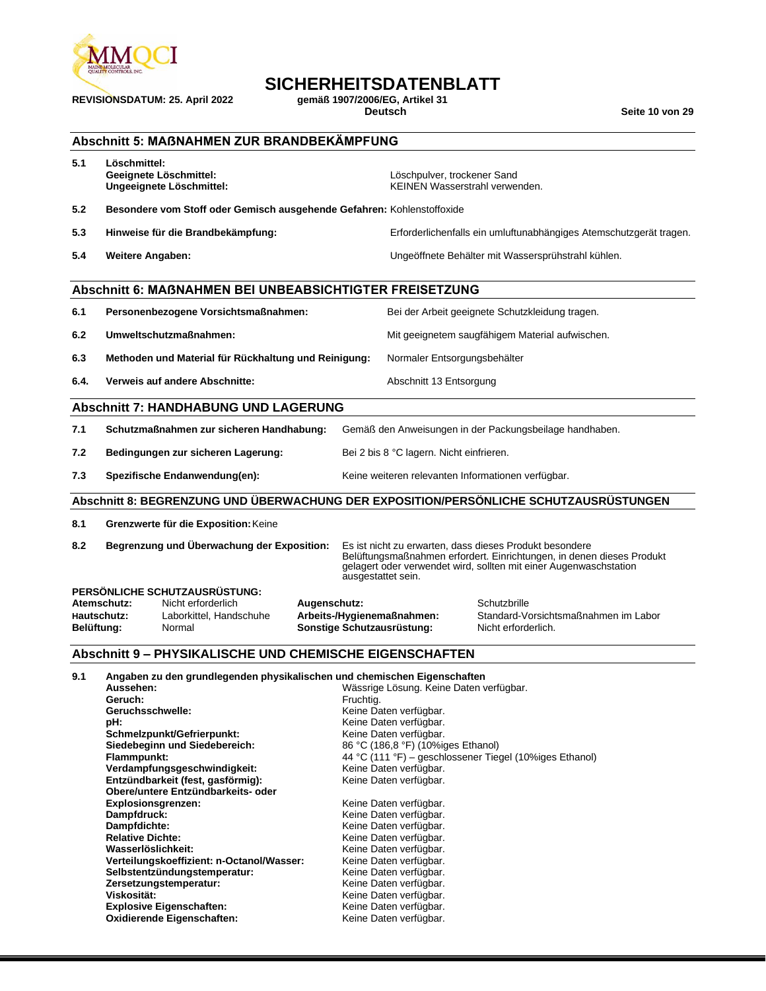

**REVISIONSDATUM: 25. April 2022 gemäß 1907/2006/EG, Artikel 31**

### **SICHERHEITSDATENBLATT**

**Deutsch Seite 10 von 29**

|            | Abschnitt 5: MAßNAHMEN ZUR BRANDBEKÄMPFUNG                                                                                                                                                                                                                                                                                                                                                                                                                                                                                                              |                                            |                                                                                                                                                                                                                                                                                                                                                                                                                                                           |                                                                                                                                                                                                       |
|------------|---------------------------------------------------------------------------------------------------------------------------------------------------------------------------------------------------------------------------------------------------------------------------------------------------------------------------------------------------------------------------------------------------------------------------------------------------------------------------------------------------------------------------------------------------------|--------------------------------------------|-----------------------------------------------------------------------------------------------------------------------------------------------------------------------------------------------------------------------------------------------------------------------------------------------------------------------------------------------------------------------------------------------------------------------------------------------------------|-------------------------------------------------------------------------------------------------------------------------------------------------------------------------------------------------------|
| 5.1        | Löschmittel:<br>Geeignete Löschmittel:<br>Ungeeignete Löschmittel:                                                                                                                                                                                                                                                                                                                                                                                                                                                                                      |                                            | Löschpulver, trockener Sand<br><b>KEINEN Wasserstrahl verwenden.</b>                                                                                                                                                                                                                                                                                                                                                                                      |                                                                                                                                                                                                       |
| 5.2        | Besondere vom Stoff oder Gemisch ausgehende Gefahren: Kohlenstoffoxide                                                                                                                                                                                                                                                                                                                                                                                                                                                                                  |                                            |                                                                                                                                                                                                                                                                                                                                                                                                                                                           |                                                                                                                                                                                                       |
| 5.3        | Hinweise für die Brandbekämpfung:                                                                                                                                                                                                                                                                                                                                                                                                                                                                                                                       |                                            |                                                                                                                                                                                                                                                                                                                                                                                                                                                           | Erforderlichenfalls ein umluftunabhängiges Atemschutzgerät tragen.                                                                                                                                    |
| 5.4        | <b>Weitere Angaben:</b>                                                                                                                                                                                                                                                                                                                                                                                                                                                                                                                                 |                                            |                                                                                                                                                                                                                                                                                                                                                                                                                                                           | Ungeöffnete Behälter mit Wassersprühstrahl kühlen.                                                                                                                                                    |
|            | <b>Abschnitt 6: MAßNAHMEN BEI UNBEABSICHTIGTER FREISETZUNG</b>                                                                                                                                                                                                                                                                                                                                                                                                                                                                                          |                                            |                                                                                                                                                                                                                                                                                                                                                                                                                                                           |                                                                                                                                                                                                       |
| 6.1        | Personenbezogene Vorsichtsmaßnahmen:                                                                                                                                                                                                                                                                                                                                                                                                                                                                                                                    |                                            |                                                                                                                                                                                                                                                                                                                                                                                                                                                           | Bei der Arbeit geeignete Schutzkleidung tragen.                                                                                                                                                       |
| 6.2        | Umweltschutzmaßnahmen:                                                                                                                                                                                                                                                                                                                                                                                                                                                                                                                                  |                                            |                                                                                                                                                                                                                                                                                                                                                                                                                                                           | Mit geeignetem saugfähigem Material aufwischen.                                                                                                                                                       |
| 6.3        | Methoden und Material für Rückhaltung und Reinigung:                                                                                                                                                                                                                                                                                                                                                                                                                                                                                                    |                                            | Normaler Entsorgungsbehälter                                                                                                                                                                                                                                                                                                                                                                                                                              |                                                                                                                                                                                                       |
| 6.4.       | Verweis auf andere Abschnitte:                                                                                                                                                                                                                                                                                                                                                                                                                                                                                                                          |                                            | Abschnitt 13 Entsorgung                                                                                                                                                                                                                                                                                                                                                                                                                                   |                                                                                                                                                                                                       |
|            | <b>Abschnitt 7: HANDHABUNG UND LAGERUNG</b>                                                                                                                                                                                                                                                                                                                                                                                                                                                                                                             |                                            |                                                                                                                                                                                                                                                                                                                                                                                                                                                           |                                                                                                                                                                                                       |
| 7.1        | Schutzmaßnahmen zur sicheren Handhabung:                                                                                                                                                                                                                                                                                                                                                                                                                                                                                                                |                                            |                                                                                                                                                                                                                                                                                                                                                                                                                                                           | Gemäß den Anweisungen in der Packungsbeilage handhaben.                                                                                                                                               |
| 7.2        | Bedingungen zur sicheren Lagerung:                                                                                                                                                                                                                                                                                                                                                                                                                                                                                                                      |                                            | Bei 2 bis 8 °C lagern. Nicht einfrieren.                                                                                                                                                                                                                                                                                                                                                                                                                  |                                                                                                                                                                                                       |
| 7.3        | Spezifische Endanwendung(en):                                                                                                                                                                                                                                                                                                                                                                                                                                                                                                                           |                                            |                                                                                                                                                                                                                                                                                                                                                                                                                                                           | Keine weiteren relevanten Informationen verfügbar.                                                                                                                                                    |
|            | Abschnitt 8: BEGRENZUNG UND ÜBERWACHUNG DER EXPOSITION/PERSÖNLICHE SCHUTZAUSRÜSTUNGEN                                                                                                                                                                                                                                                                                                                                                                                                                                                                   |                                            |                                                                                                                                                                                                                                                                                                                                                                                                                                                           |                                                                                                                                                                                                       |
| 8.1        | Grenzwerte für die Exposition: Keine                                                                                                                                                                                                                                                                                                                                                                                                                                                                                                                    |                                            |                                                                                                                                                                                                                                                                                                                                                                                                                                                           |                                                                                                                                                                                                       |
| 8.2        | Begrenzung und Überwachung der Exposition:                                                                                                                                                                                                                                                                                                                                                                                                                                                                                                              |                                            | ausgestattet sein.                                                                                                                                                                                                                                                                                                                                                                                                                                        | Es ist nicht zu erwarten, dass dieses Produkt besondere<br>Belüftungsmaßnahmen erfordert. Einrichtungen, in denen dieses Produkt<br>gelagert oder verwendet wird, sollten mit einer Augenwaschstation |
| Belüftung: | PERSÖNLICHE SCHUTZAUSRÜSTUNG:<br>Atemschutz:<br>Nicht erforderlich<br>Hautschutz:<br>Laborkittel, Handschuhe<br>Normal                                                                                                                                                                                                                                                                                                                                                                                                                                  | Augenschutz:<br>Sonstige Schutzausrüstung: | Arbeits-/Hygienemaßnahmen:                                                                                                                                                                                                                                                                                                                                                                                                                                | Schutzbrille<br>Standard-Vorsichtsmaßnahmen im Labor<br>Nicht erforderlich.                                                                                                                           |
|            | <b>Abschnitt 9 - PHYSIKALISCHE UND CHEMISCHE EIGENSCHAFTEN</b>                                                                                                                                                                                                                                                                                                                                                                                                                                                                                          |                                            |                                                                                                                                                                                                                                                                                                                                                                                                                                                           |                                                                                                                                                                                                       |
| 9.1        | Angaben zu den grundlegenden physikalischen und chemischen Eigenschaften<br>Aussehen:<br>Geruch:<br>Geruchsschwelle:<br>pH:<br>Schmelzpunkt/Gefrierpunkt:<br>Siedebeginn und Siedebereich:<br>Flammpunkt:<br>Verdampfungsgeschwindigkeit:<br>Entzündbarkeit (fest, gasförmig):<br>Obere/untere Entzündbarkeits- oder<br><b>Explosionsgrenzen:</b><br>Dampfdruck:<br>Dampfdichte:<br><b>Relative Dichte:</b><br>Wasserlöslichkeit:<br>Verteilungskoeffizient: n-Octanol/Wasser:<br>Selbstentzündungstemperatur:<br>Zersetzungstemperatur:<br>Viskosität: | Fruchtig.                                  | Wässrige Lösung. Keine Daten verfügbar.<br>Keine Daten verfügbar.<br>Keine Daten verfügbar.<br>Keine Daten verfügbar.<br>86 °C (186,8 °F) (10%iges Ethanol)<br>Keine Daten verfügbar.<br>Keine Daten verfügbar.<br>Keine Daten verfügbar.<br>Keine Daten verfügbar.<br>Keine Daten verfügbar.<br>Keine Daten verfügbar.<br>Keine Daten verfügbar.<br>Keine Daten verfügbar.<br>Keine Daten verfügbar.<br>Keine Daten verfügbar.<br>Keine Daten verfügbar. | 44 °C (111 °F) – geschlossener Tiegel (10%iges Ethanol)                                                                                                                                               |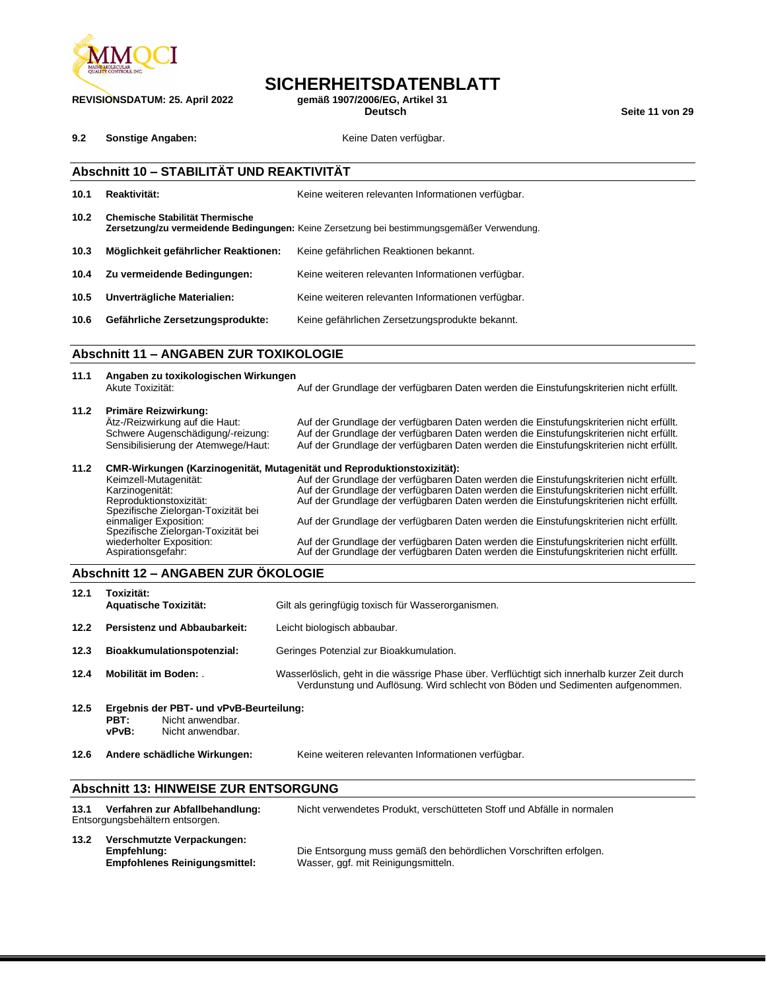

**REVISIONSDATUM: 25. April 2022 gemäß 1907/2006/EG, Artikel 31**

## **SICHERHEITSDATENBLATT**<br>qemäß 1907/2006/EG. Artikel 31

**Deutsch Seite 11 von 29**

**9.2 Sonstige Angaben: Constiguent Keine Daten verfügbar.** 

#### **Abschnitt 10 – STABILITÄT UND REAKTIVITÄT**

**10.1 Reaktivität:** Keine weiteren relevanten Informationen verfügbar. **10.2 Chemische Stabilität Thermische Zersetzung/zu vermeidende Bedingungen:** Keine Zersetzung bei bestimmungsgemäßer Verwendung. **10.3 Möglichkeit gefährlicher Reaktionen:** Keine gefährlichen Reaktionen bekannt. **10.4 Zu vermeidende Bedingungen:** Keine weiteren relevanten Informationen verfügbar. **10.5 Unverträgliche Materialien:** Keine weiteren relevanten Informationen verfügbar. **10.6 Gefährliche Zersetzungsprodukte:** Keine gefährlichen Zersetzungsprodukte bekannt.

#### **Abschnitt 11 – ANGABEN ZUR TOXIKOLOGIE**

| 11.1 | Angaben zu toxikologischen Wirkungen<br>Akute Toxizität:                | Auf der Grundlage der verfügbaren Daten werden die Einstufungskriterien nicht erfüllt. |
|------|-------------------------------------------------------------------------|----------------------------------------------------------------------------------------|
| 11.2 | Primäre Reizwirkung:<br>Ätz-/Reizwirkung auf die Haut:                  | Auf der Grundlage der verfügbaren Daten werden die Einstufungskriterien nicht erfüllt. |
|      | Schwere Augenschädigung/-reizung:                                       | Auf der Grundlage der verfügbaren Daten werden die Einstufungskriterien nicht erfüllt. |
|      | Sensibilisierung der Atemwege/Haut:                                     | Auf der Grundlage der verfügbaren Daten werden die Einstufungskriterien nicht erfüllt. |
| 11.2 | CMR-Wirkungen (Karzinogenität, Mutagenität und Reproduktionstoxizität): |                                                                                        |
|      | Keimzell-Mutagenität:                                                   | Auf der Grundlage der verfügbaren Daten werden die Einstufungskriterien nicht erfüllt. |
|      | Karzinogenität:                                                         | Auf der Grundlage der verfügbaren Daten werden die Einstufungskriterien nicht erfüllt. |
|      | Reproduktionstoxizität:                                                 | Auf der Grundlage der verfügbaren Daten werden die Einstufungskriterien nicht erfüllt. |
|      | Spezifische Zielorgan-Toxizität bei                                     |                                                                                        |
|      | einmaliger Exposition:                                                  | Auf der Grundlage der verfügbaren Daten werden die Einstufungskriterien nicht erfüllt. |
|      | Spezifische Zielorgan-Toxizität bei                                     |                                                                                        |
|      | wiederholter Exposition:                                                | Auf der Grundlage der verfügbaren Daten werden die Einstufungskriterien nicht erfüllt. |
|      | Aspirationsgefahr:                                                      | Auf der Grundlage der verfügbaren Daten werden die Einstufungskriterien nicht erfüllt. |

#### **Abschnitt 12 – ANGABEN ZUR ÖKOLOGIE**

| 12.1 | Toxizität:<br><b>Aquatische Toxizität:</b>                                                       | Gilt als geringfügig toxisch für Wasserorganismen.                                                                                                                              |
|------|--------------------------------------------------------------------------------------------------|---------------------------------------------------------------------------------------------------------------------------------------------------------------------------------|
| 12.2 | Persistenz und Abbaubarkeit:                                                                     | Leicht biologisch abbaubar.                                                                                                                                                     |
| 12.3 | Bioakkumulationspotenzial:                                                                       | Geringes Potenzial zur Bioakkumulation.                                                                                                                                         |
| 12.4 | Mobilität im Boden:                                                                              | Wasserlöslich, geht in die wässrige Phase über. Verflüchtigt sich innerhalb kurzer Zeit durch<br>Verdunstung und Auflösung. Wird schlecht von Böden und Sedimenten aufgenommen. |
| 12.5 | Ergebnis der PBT- und vPvB-Beurteilung:<br>Nicht anwendbar.<br>PBT:<br>vPvB:<br>Nicht anwendbar. |                                                                                                                                                                                 |

**12.6 Andere schädliche Wirkungen:** Keine weiteren relevanten Informationen verfügbar.

#### **Abschnitt 13: HINWEISE ZUR ENTSORGUNG**

| 13.1 | Verfahren zur Abfallbehandlung:<br>Entsorgungsbehältern entsorgen.                | Nicht verwendetes Produkt, verschütteten Stoff und Abfälle in normalen                                   |
|------|-----------------------------------------------------------------------------------|----------------------------------------------------------------------------------------------------------|
| 13.2 | Verschmutzte Verpackungen:<br>Empfehlung:<br><b>Empfohlenes Reinigungsmittel:</b> | Die Entsorgung muss gemäß den behördlichen Vorschriften erfolgen.<br>Wasser, ggf. mit Reinigungsmitteln. |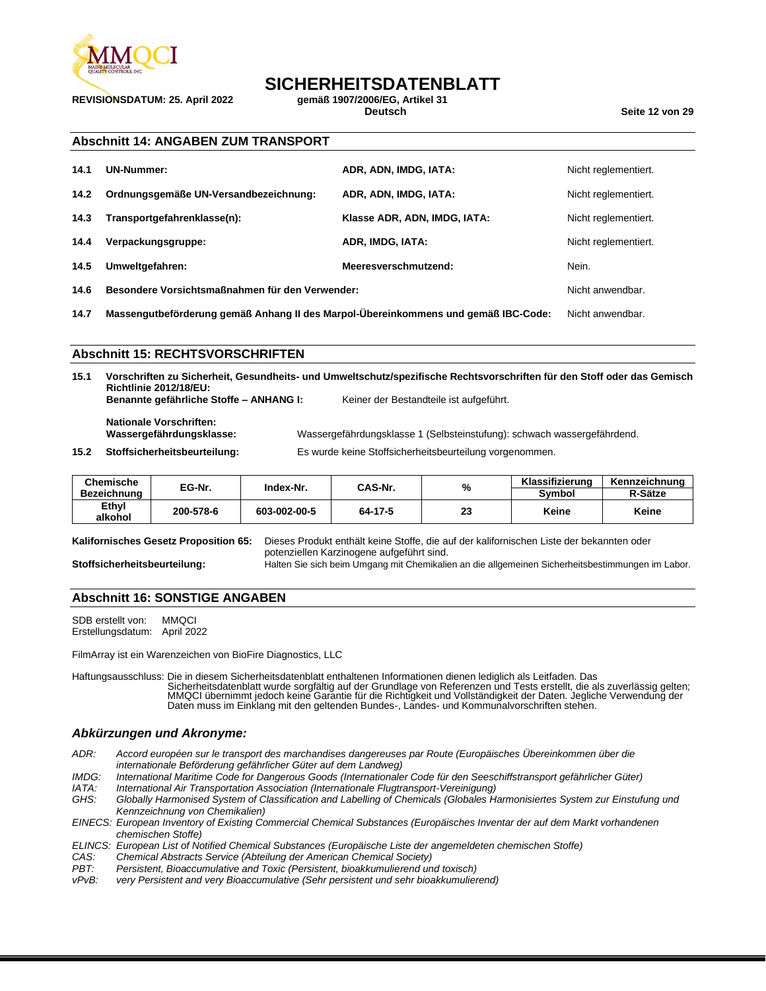

**REVISIONSDATUM: 25. April 2022 gemäß 1907/2006/EG, Artikel 31**

## **SICHERHEITSDATENBLATT**<br>gemäß 1907/2006/EG. Artikel 31

**Deutsch Seite 12 von 29**

#### **Abschnitt 14: ANGABEN ZUM TRANSPORT**

| 14.1 | <b>UN-Nummer:</b>                               | ADR, ADN, IMDG, IATA:        | Nicht reglementiert. |
|------|-------------------------------------------------|------------------------------|----------------------|
| 14.2 | Ordnungsgemäße UN-Versandbezeichnung:           | ADR, ADN, IMDG, IATA:        | Nicht reglementiert. |
| 14.3 | Transportgefahrenklasse(n):                     | Klasse ADR, ADN, IMDG, IATA: | Nicht reglementiert. |
| 14.4 | Verpackungsgruppe:                              | ADR, IMDG, IATA:             | Nicht reglementiert. |
| 14.5 | Umweltgefahren:                                 | Meeresverschmutzend:         | Nein.                |
| 14.6 | Besondere Vorsichtsmaßnahmen für den Verwender: |                              | Nicht anwendbar.     |

**14.7 Massengutbeförderung gemäß Anhang II des Marpol-Übereinkommens und gemäß IBC-Code:** Nicht anwendbar.

#### **Abschnitt 15: RECHTSVORSCHRIFTEN**

**15.1 Vorschriften zu Sicherheit, Gesundheits- und Umweltschutz/spezifische Rechtsvorschriften für den Stoff oder das Gemisch Richtlinie 2012/18/EU: Benannte gefährliche Stoffe – ANHANG I:** Keiner der Bestandteile ist aufgeführt.

**Nationale Vorschriften:**

Wassergefährdungsklasse 1 (Selbsteinstufung): schwach wassergefährdend.

**15.2 Stoffsicherheitsbeurteilung:** Es wurde keine Stoffsicherheitsbeurteilung vorgenommen.

| Chemische        | EG-Nr.    | Index-Nr.    | CAS-Nr. | %  | Klassifizierung | Kennzeichnung |
|------------------|-----------|--------------|---------|----|-----------------|---------------|
| Bezeichnung      |           |              |         |    | Svmbol          | R-Sätze       |
| Ethyl<br>alkohol | 200-578-6 | 603-002-00-5 | 64-17-5 | 23 | Keine           | Keine         |

**Kalifornisches Gesetz Proposition 65:** Dieses Produkt enthält keine Stoffe, die auf der kalifornischen Liste der bekannten oder potenziellen Karzinogene aufgeführt sind.

#### **Stoffsicherheitsbeurteilung:** Halten Sie sich beim Umgang mit Chemikalien an die allgemeinen Sicherheitsbestimmungen im Labor.

#### **Abschnitt 16: SONSTIGE ANGABEN**

SDB erstellt von: MMQCI Erstellungsdatum: April 2022

FilmArray ist ein Warenzeichen von BioFire Diagnostics, LLC

Haftungsausschluss: Die in diesem Sicherheitsdatenblatt enthaltenen Informationen dienen lediglich als Leitfaden. Das Sicherheitsdatenblatt wurde sorgfältig auf der Grundlage von Referenzen und Tests erstellt, die als zuverlässig gelten; MMQCI übernimmt jedoch keine Garantie für die Richtigkeit und Vollständigkeit der Daten. Jegliche Verwendung der Daten muss im Einklang mit den geltenden Bundes-, Landes- und Kommunalvorschriften stehen.

#### *Abkürzungen und Akronyme:*

*ADR: Accord européen sur le transport des marchandises dangereuses par Route (Europäisches Übereinkommen über die internationale Beförderung gefährlicher Güter auf dem Landweg)*

- *IMDG: International Maritime Code for Dangerous Goods (Internationaler Code für den Seeschiffstransport gefährlicher Güter)*
- *IATA: International Air Transportation Association (Internationale Flugtransport-Vereinigung)*
- *GHS: Globally Harmonised System of Classification and Labelling of Chemicals (Globales Harmonisiertes System zur Einstufung und Kennzeichnung von Chemikalien)*
- *EINECS: European Inventory of Existing Commercial Chemical Substances (Europäisches Inventar der auf dem Markt vorhandenen chemischen Stoffe)*
- *ELINCS: European List of Notified Chemical Substances (Europäische Liste der angemeldeten chemischen Stoffe)*
- *CAS: Chemical Abstracts Service (Abteilung der American Chemical Society)*
- *PBT: Persistent, Bioaccumulative and Toxic (Persistent, bioakkumulierend und toxisch)*
- *vPvB: very Persistent and very Bioaccumulative (Sehr persistent und sehr bioakkumulierend)*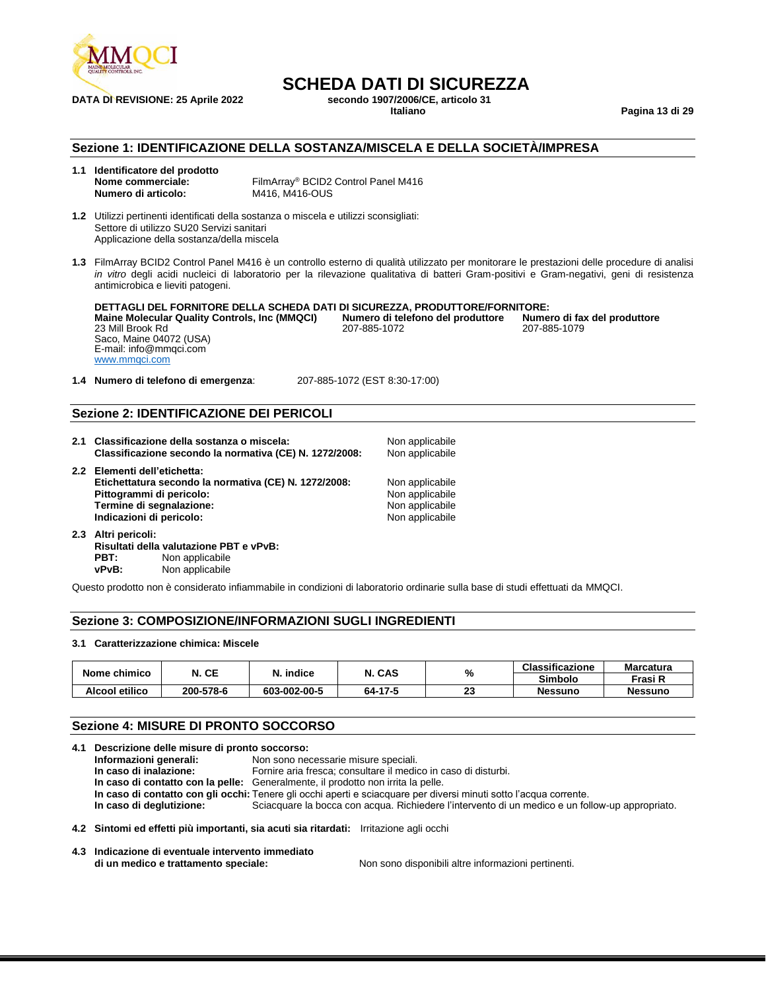

### **SCHEDA DATI DI SICUREZZA**<br>secondo 1907/2006/CE. articolo 31 **DATA DI REVISIONE: 25 Aprile 2022 secondo 1907/2006/C**<br>Italiano

**Italiano Pagina 13 di 29**

#### **Sezione 1: IDENTIFICAZIONE DELLA SOSTANZA/MISCELA E DELLA SOCIETÀ/IMPRESA**

| 1.1 | Identificatore del prodotto |
|-----|-----------------------------|
|     | Nome commerciale:           |
|     | Numero di articolo:         |

FilmArray<sup>®</sup> BCID2 Control Panel M416 **M416, M416-OUS** 

**1.2** Utilizzi pertinenti identificati della sostanza o miscela e utilizzi sconsigliati: Settore di utilizzo SU20 Servizi sanitari Applicazione della sostanza/della miscela

**1.3** FilmArray BCID2 Control Panel M416 è un controllo esterno di qualità utilizzato per monitorare le prestazioni delle procedure di analisi *in vitro* degli acidi nucleici di laboratorio per la rilevazione qualitativa di batteri Gram-positivi e Gram-negativi, geni di resistenza antimicrobica e lieviti patogeni.

**DETTAGLI DEL FORNITORE DELLA SCHEDA DATI DI SICUREZZA, PRODUTTORE/FORNITORE: Maine Molecular Quality Controls, Inc (MMQCI) Numero di telefono del produttore Numero di fax del produttore Numero di fax del produttore numero di fax del produttore di fax del produttore di fax del produttor** 23 Mill Brook Rd Saco, Maine 04072 (USA) E-mail: info@mmqci.com [www.mmqci.com](http://www.mmqci.com/)

**1.4 Numero di telefono di emergenza**: 207-885-1072 (EST 8:30-17:00)

#### **Sezione 2: IDENTIFICAZIONE DEI PERICOLI**

| 2.1 Classificazione della sostanza o miscela:<br>Classificazione secondo la normativa (CE) N. 1272/2008:                                                                  | Non applicabile<br>Non applicabile                                       |
|---------------------------------------------------------------------------------------------------------------------------------------------------------------------------|--------------------------------------------------------------------------|
| 2.2 Elementi dell'etichetta:<br>Etichettatura secondo la normativa (CE) N. 1272/2008:<br>Pittogrammi di pericolo:<br>Termine di segnalazione:<br>Indicazioni di pericolo: | Non applicabile<br>Non applicabile<br>Non applicabile<br>Non applicabile |
|                                                                                                                                                                           |                                                                          |

**2.3 Altri pericoli: Risultati della valutazione PBT e vPvB: PBT:** Non applicabile<br>vPvB: Non applicabile Non applicabile

Questo prodotto non è considerato infiammabile in condizioni di laboratorio ordinarie sulla base di studi effettuati da MMQCI.

#### **Sezione 3: COMPOSIZIONE/INFORMAZIONI SUGLI INGREDIENTI**

#### **3.1 Caratterizzazione chimica: Miscele**

|                | N. CE     | indice<br>N  | CAS     | %         | <b>Classificazione</b> | <b>Marcatura</b> |
|----------------|-----------|--------------|---------|-----------|------------------------|------------------|
| Nome chimico   |           |              |         |           | Simbolo                | Frasi R          |
| Alcool etilico | 200-578-6 | 603-002-00-5 | 64-17-5 | n n<br>20 | <b>Nessuno</b>         | <b>Nessuno</b>   |

#### **Sezione 4: MISURE DI PRONTO SOCCORSO**

| 4.1 Descrizione delle misure di pronto soccorso:  |                                                                                                                    |  |  |  |
|---------------------------------------------------|--------------------------------------------------------------------------------------------------------------------|--|--|--|
| Informazioni generali:                            | Non sono necessarie misure speciali.                                                                               |  |  |  |
| In caso di inalazione:                            | Fornire aria fresca; consultare il medico in caso di disturbi.                                                     |  |  |  |
|                                                   | In caso di contatto con la pelle: Generalmente, il prodotto non irrita la pelle.                                   |  |  |  |
|                                                   | In caso di contatto con gli occhi: Tenere gli occhi aperti e sciacquare per diversi minuti sotto l'acqua corrente. |  |  |  |
| In caso di deglutizione:                          | Sciacquare la bocca con acqua. Richiedere l'intervento di un medico e un follow-up appropriato.                    |  |  |  |
|                                                   | 4.2 Sintomi ed effetti più importanti, sia acuti sia ritardati: Irritazione agli occhi                             |  |  |  |
| 4.3 Indicazione di eventuale intervento immediato |                                                                                                                    |  |  |  |

**di un medico e trattamento speciale:** Non sono disponibili altre informazioni pertinenti.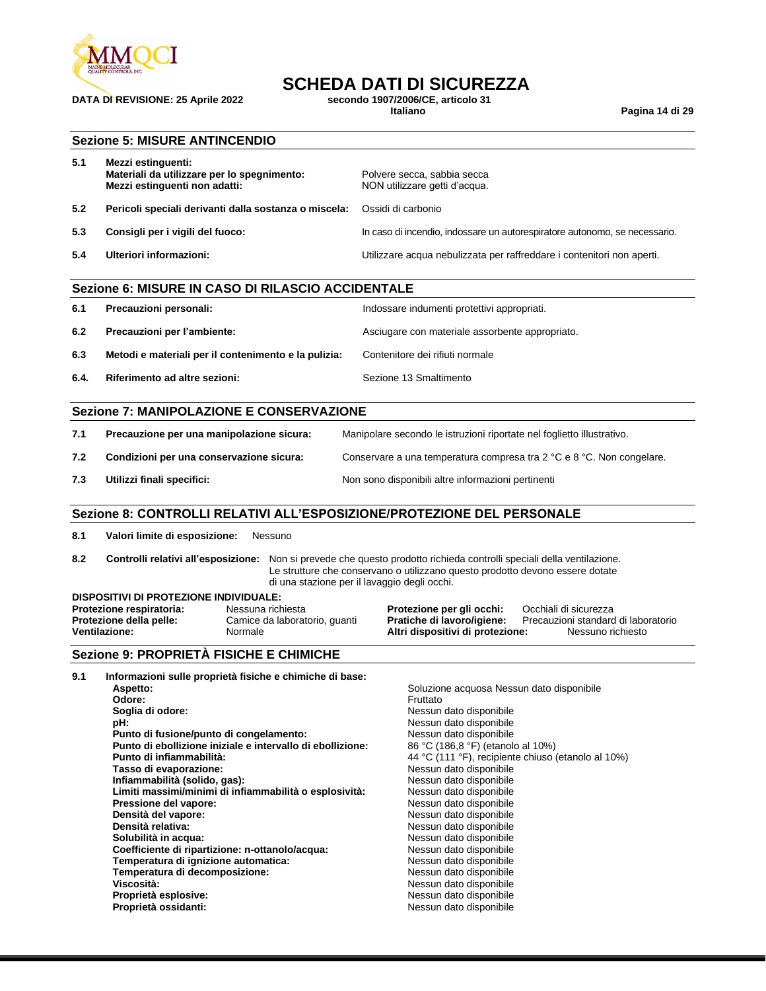

## **DATA DI REVISIONE: 25 Aprile 2022 secondo 1907/2006/C**<br>Italiano

## **SCHEDA DATI DI SICUREZZA**<br>secondo 1907/2006/CE. articolo 31

**Italiano Pagina 14 di 29**

#### **Sezione 5: MISURE ANTINCENDIO**

| 5.1 | Mezzi estinguenti:<br>Materiali da utilizzare per lo spegnimento:<br>Mezzi estinguenti non adatti: | Polvere secca, sabbia secca<br>NON utilizzare getti d'acqua.               |
|-----|----------------------------------------------------------------------------------------------------|----------------------------------------------------------------------------|
| 5.2 | Pericoli speciali derivanti dalla sostanza o miscela:                                              | Ossidi di carbonio                                                         |
| 5.3 | Consigli per i vigili del fuoco:                                                                   | In caso di incendio, indossare un autorespiratore autonomo, se necessario. |
| 5.4 | Ulteriori informazioni:                                                                            | Utilizzare acqua nebulizzata per raffreddare i contenitori non aperti.     |

### **Sezione 6: MISURE IN CASO DI RILASCIO ACCIDENTALE 6.1 Precauzioni personali:** Indossare indumenti protettivi appropriati. **6.2 Precauzioni per l'ambiente:** Asciugare con materiale assorbente appropriato. **6.3 Metodi e materiali per il contenimento e la pulizia:** Contenitore dei rifiuti normale **6.4. Riferimento ad altre sezioni: Sezione 13 Smaltimento 6.4. Riferimento**

#### **Sezione 7: MANIPOLAZIONE E CONSERVAZIONE**

| 7.1 | Precauzione per una manipolazione sicura: | Manipolare secondo le istruzioni riportate nel foglietto illustrativo. |
|-----|-------------------------------------------|------------------------------------------------------------------------|
| 7.2 | Condizioni per una conservazione sicura:  | Conservare a una temperatura compresa tra 2 °C e 8 °C. Non congelare.  |
| 7.3 | Utilizzi finali specifici:                | Non sono disponibili altre informazioni pertinenti                     |

#### **Sezione 8: CONTROLLI RELATIVI ALL'ESPOSIZIONE/PROTEZIONE DEL PERSONALE**

**8.1 Valori limite di esposizione:** Nessuno

**8.2 Controlli relativi all'esposizione:** Non si prevede che questo prodotto richieda controlli speciali della ventilazione. Le strutture che conservano o utilizzano questo prodotto devono essere dotate di una stazione per il lavaggio degli occhi. **DISPOSITIVI DI PROTEZIONE INDIVIDUALE:**

| DISPOSITIVI DI PROTEZIONE INDIVIDUALE: |                               |                                  |                                     |  |  |
|----------------------------------------|-------------------------------|----------------------------------|-------------------------------------|--|--|
| Protezione respiratoria:               | Nessuna richiesta             | Protezione per gli occhi:        | Occhiali di sicurezza               |  |  |
| Protezione della pelle:                | Camice da laboratorio, quanti | Pratiche di lavoro/igiene:       | Precauzioni standard di laboratorio |  |  |
| <b>Ventilazione:</b>                   | Normale                       | Altri dispositivi di protezione: | Nessuno richiesto                   |  |  |
|                                        |                               |                                  |                                     |  |  |

#### **Sezione 9: PROPRIETÀ FISICHE E CHIMICHE**

| 9.1 | Informazioni sulle proprietà fisiche e chimiche di base:   |                                                    |
|-----|------------------------------------------------------------|----------------------------------------------------|
|     | Aspetto:                                                   | Soluzione acquosa Nessun dato disponibile          |
|     | Odore:                                                     | Fruttato                                           |
|     | Soglia di odore:                                           | Nessun dato disponibile                            |
|     | pH:                                                        | Nessun dato disponibile                            |
|     | Punto di fusione/punto di congelamento:                    | Nessun dato disponibile                            |
|     | Punto di ebollizione iniziale e intervallo di ebollizione: | 86 °C (186,8 °F) (etanolo al 10%)                  |
|     | Punto di infiammabilità:                                   | 44 °C (111 °F), recipiente chiuso (etanolo al 10%) |
|     | Tasso di evaporazione:                                     | Nessun dato disponibile                            |
|     | Infiammabilità (solido, gas):                              | Nessun dato disponibile                            |
|     | Limiti massimi/minimi di infiammabilità o esplosività:     | Nessun dato disponibile                            |
|     | Pressione del vapore:                                      | Nessun dato disponibile                            |
|     | Densità del vapore:                                        | Nessun dato disponibile                            |
|     | Densità relativa:                                          | Nessun dato disponibile                            |
|     | Solubilità in acqua:                                       | Nessun dato disponibile                            |
|     | Coefficiente di ripartizione: n-ottanolo/acqua:            | Nessun dato disponibile                            |
|     | Temperatura di ignizione automatica:                       | Nessun dato disponibile                            |
|     | Temperatura di decomposizione:                             | Nessun dato disponibile                            |
|     | Viscosità:                                                 | Nessun dato disponibile                            |
|     | Proprietà esplosive:                                       | Nessun dato disponibile                            |
|     | Proprietà ossidanti:                                       | Nessun dato disponibile                            |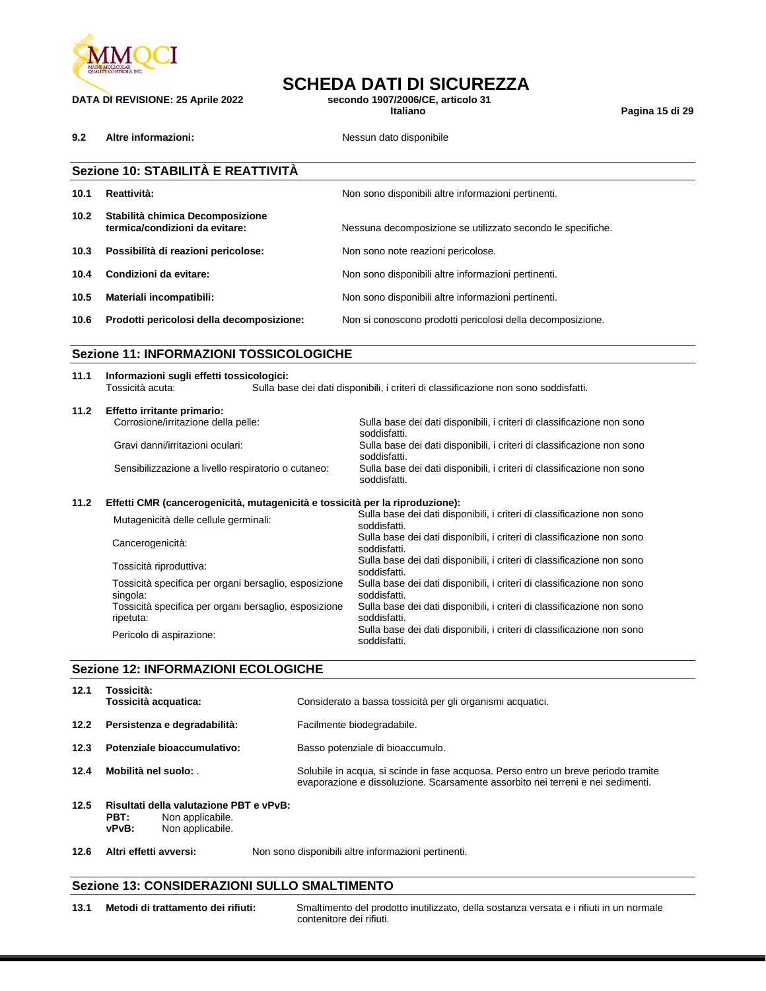

## **DATA DI REVISIONE: 25 Aprile 2022 secondo 1907/2006/C**<br>Italiano

**9.2 Altre informazioni: Nessun dato disponibile** 

**SCHEDA DATI DI SICUREZZA**<br>secondo 1907/2006/CE, articolo 31

**Italiano Pagina 15 di 29**

|                                                | Sezione 10: STABILITÀ E REATTIVITÀ                                                                                                                   |                                                             |  |  |
|------------------------------------------------|------------------------------------------------------------------------------------------------------------------------------------------------------|-------------------------------------------------------------|--|--|
| 10.1                                           | Reattività:                                                                                                                                          | Non sono disponibili altre informazioni pertinenti.         |  |  |
| 10.2 <sub>1</sub>                              | Stabilità chimica Decomposizione<br>termica/condizioni da evitare:                                                                                   | Nessuna decomposizione se utilizzato secondo le specifiche. |  |  |
| 10.3                                           | Possibilità di reazioni pericolose:                                                                                                                  | Non sono note reazioni pericolose.                          |  |  |
| 10.4                                           | Condizioni da evitare:                                                                                                                               | Non sono disponibili altre informazioni pertinenti.         |  |  |
| 10.5                                           | Materiali incompatibili:                                                                                                                             | Non sono disponibili altre informazioni pertinenti.         |  |  |
| 10.6                                           | Prodotti pericolosi della decomposizione:                                                                                                            | Non si conoscono prodotti pericolosi della decomposizione.  |  |  |
| <b>Sezione 11: INFORMAZIONI TOSSICOLOGICHE</b> |                                                                                                                                                      |                                                             |  |  |
| 11.1                                           | Informazioni sugli effetti tossicologici:<br>Tossicità acuta:<br>Sulla base dei dati disponibili, i criteri di classificazione non sono soddisfatti. |                                                             |  |  |

| 11.2 | Effetto irritante primario:                         |                                                                                        |
|------|-----------------------------------------------------|----------------------------------------------------------------------------------------|
|      | Corrosione/irritazione della pelle:                 | Sulla base dei dati disponibili, i criteri di classificazione non sono<br>soddisfatti. |
|      | Gravi danni/irritazioni oculari:                    | Sulla base dei dati disponibili, i criteri di classificazione non sono<br>soddisfatti. |
|      | Sensibilizzazione a livello respiratorio o cutaneo: | Sulla base dei dati disponibili, i criteri di classificazione non sono<br>soddisfatti. |

#### **11.2 Effetti CMR (cancerogenicità, mutagenicità e tossicità per la riproduzione):**

| Mutagenicità delle cellule germinali:                              | Sulla base dei dati disponibili, i criteri di classificazione non sono<br>soddisfatti. |
|--------------------------------------------------------------------|----------------------------------------------------------------------------------------|
| Cancerogenicità:                                                   | Sulla base dei dati disponibili, i criteri di classificazione non sono<br>soddisfatti. |
| Tossicità riproduttiva:                                            | Sulla base dei dati disponibili, i criteri di classificazione non sono<br>soddisfatti. |
| Tossicità specifica per organi bersaglio, esposizione<br>singola:  | Sulla base dei dati disponibili, i criteri di classificazione non sono<br>soddisfatti. |
| Tossicità specifica per organi bersaglio, esposizione<br>ripetuta: | Sulla base dei dati disponibili, i criteri di classificazione non sono<br>soddisfatti. |
| Pericolo di aspirazione:                                           | Sulla base dei dati disponibili, i criteri di classificazione non sono<br>soddisfatti. |

#### **Sezione 12: INFORMAZIONI ECOLOGICHE**

| 12.1 | Tossicità:<br>Tossicità acquatica:                                  | Considerato a bassa tossicità per gli organismi acquatici.                                                                                                            |
|------|---------------------------------------------------------------------|-----------------------------------------------------------------------------------------------------------------------------------------------------------------------|
| 12.2 | Persistenza e degradabilità:                                        | Facilmente biodegradabile.                                                                                                                                            |
| 12.3 | Potenziale bioaccumulativo:                                         | Basso potenziale di bioaccumulo.                                                                                                                                      |
| 12.4 | Mobilità nel suolo:                                                 | Solubile in acqua, si scinde in fase acquosa. Perso entro un breve periodo tramite<br>evaporazione e dissoluzione. Scarsamente assorbito nei terreni e nei sedimenti. |
| 12.5 | Risultati della valutazione PBT e vPvB:<br>PBT:<br>Non applicabile. |                                                                                                                                                                       |

**vPvB:** Non applicabile.

**12.6 Altri effetti avversi:** Non sono disponibili altre informazioni pertinenti.

#### **Sezione 13: CONSIDERAZIONI SULLO SMALTIMENTO**

**13.1 Metodi di trattamento dei rifiuti:** Smaltimento del prodotto inutilizzato, della sostanza versata e i rifiuti in un normale contenitore dei rifiuti.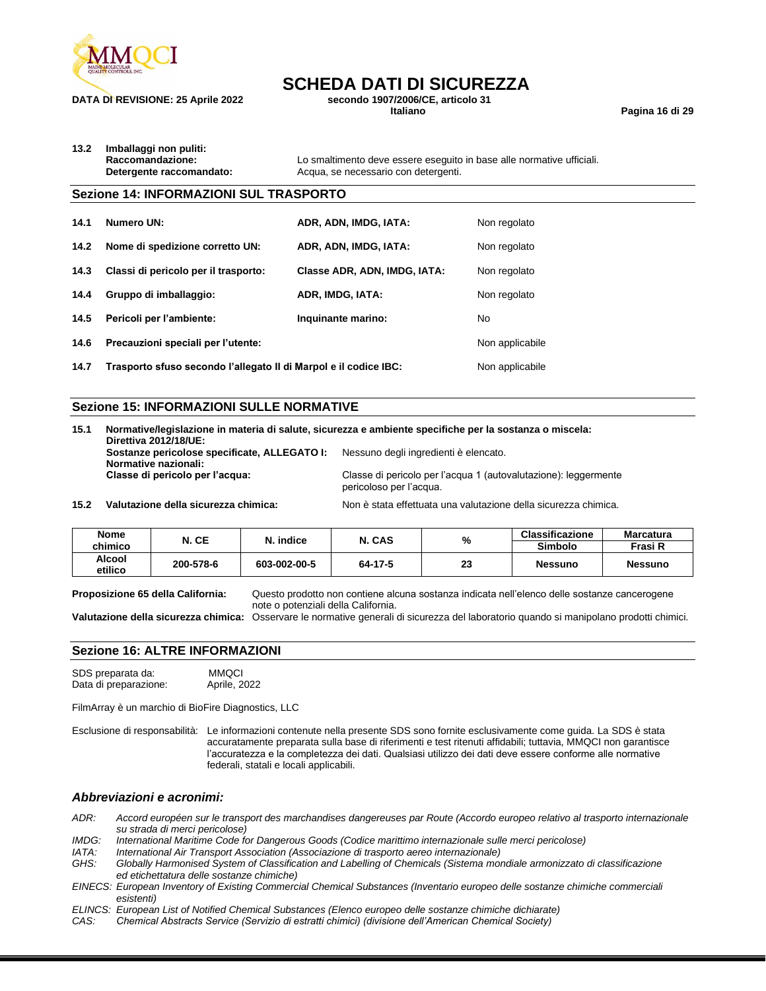

## **SCHEDA DATI DI SICUREZZA**<br>secondo 1907/2006/CE. articolo 31

**DATA DI REVISIONE: 25 Aprile 2022 secondo 1907/2006/C**<br>Italiano

**Italiano Pagina 16 di 29**

**13.2 Imballaggi non puliti:**

**Raccomandazione:** Lo smaltimento deve essere eseguito in base alle normative ufficiali. **Detergente raccomandato:** Acqua, se necessario con detergenti.

#### **Sezione 14: INFORMAZIONI SUL TRASPORTO**

| 14.1 | Numero UN:                                                       | ADR, ADN, IMDG, IATA:        | Non regolato    |
|------|------------------------------------------------------------------|------------------------------|-----------------|
| 14.2 | Nome di spedizione corretto UN:                                  | ADR, ADN, IMDG, IATA:        | Non regolato    |
| 14.3 | Classi di pericolo per il trasporto:                             | Classe ADR, ADN, IMDG, IATA: | Non regolato    |
| 14.4 | Gruppo di imballaggio:                                           | ADR, IMDG, IATA:             | Non regolato    |
|      | 14.5 Pericoli per l'ambiente:                                    | Inquinante marino:           | No              |
| 14.6 | Precauzioni speciali per l'utente:                               |                              | Non applicabile |
| 14.7 | Trasporto sfuso secondo l'allegato II di Marpol e il codice IBC: | Non applicabile              |                 |

#### **Sezione 15: INFORMAZIONI SULLE NORMATIVE**

**15.1 Normative/legislazione in materia di salute, sicurezza e ambiente specifiche per la sostanza o miscela: Direttiva 2012/18/UE: Sostanze pericolose specificate, ALLEGATO I:** Nessuno degli ingredienti è elencato. **Normative nazionali:** Classe di pericolo per l'acqua 1 (autovalutazione): leggermente pericoloso per l'acqua.

**15.2 Valutazione della sicurezza chimica:** Non è stata effettuata una valutazione della sicurezza chimica.

| Nome              | N. CE     | %<br>N. CAS<br>N. indice | <b>Classificazione</b> | <b>Marcatura</b> |                |                |
|-------------------|-----------|--------------------------|------------------------|------------------|----------------|----------------|
| chimico           |           |                          |                        | <b>Simbolo</b>   | Frasi R        |                |
| Alcool<br>etilico | 200-578-6 | 603-002-00-5             | 64-17-5                | 23               | <b>Nessuno</b> | <b>Nessuno</b> |

**Proposizione 65 della California:** Questo prodotto non contiene alcuna sostanza indicata nell'elenco delle sostanze cancerogene note o potenziali della California.

**Valutazione della sicurezza chimica:** Osservare le normative generali di sicurezza del laboratorio quando si manipolano prodotti chimici.

#### **Sezione 16: ALTRE INFORMAZIONI**

SDS preparata da: MMQCI<br>Data di preparazione: Aprile, 2022 Data di preparazione:

FilmArray è un marchio di BioFire Diagnostics, LLC

Esclusione di responsabilità: Le informazioni contenute nella presente SDS sono fornite esclusivamente come guida. La SDS è stata accuratamente preparata sulla base di riferimenti e test ritenuti affidabili; tuttavia, MMQCI non garantisce l'accuratezza e la completezza dei dati. Qualsiasi utilizzo dei dati deve essere conforme alle normative federali, statali e locali applicabili.

#### *Abbreviazioni e acronimi:*

*ADR: Accord européen sur le transport des marchandises dangereuses par Route (Accordo europeo relativo al trasporto internazionale su strada di merci pericolose)*

*IMDG: International Maritime Code for Dangerous Goods (Codice marittimo internazionale sulle merci pericolose)*

*IATA: International Air Transport Association (Associazione di trasporto aereo internazionale)*

*GHS: Globally Harmonised System of Classification and Labelling of Chemicals (Sistema mondiale armonizzato di classificazione ed etichettatura delle sostanze chimiche)*

- *EINECS: European Inventory of Existing Commercial Chemical Substances (Inventario europeo delle sostanze chimiche commerciali esistenti)*
- *ELINCS: European List of Notified Chemical Substances (Elenco europeo delle sostanze chimiche dichiarate)*

*CAS: Chemical Abstracts Service (Servizio di estratti chimici) (divisione dell'American Chemical Society)*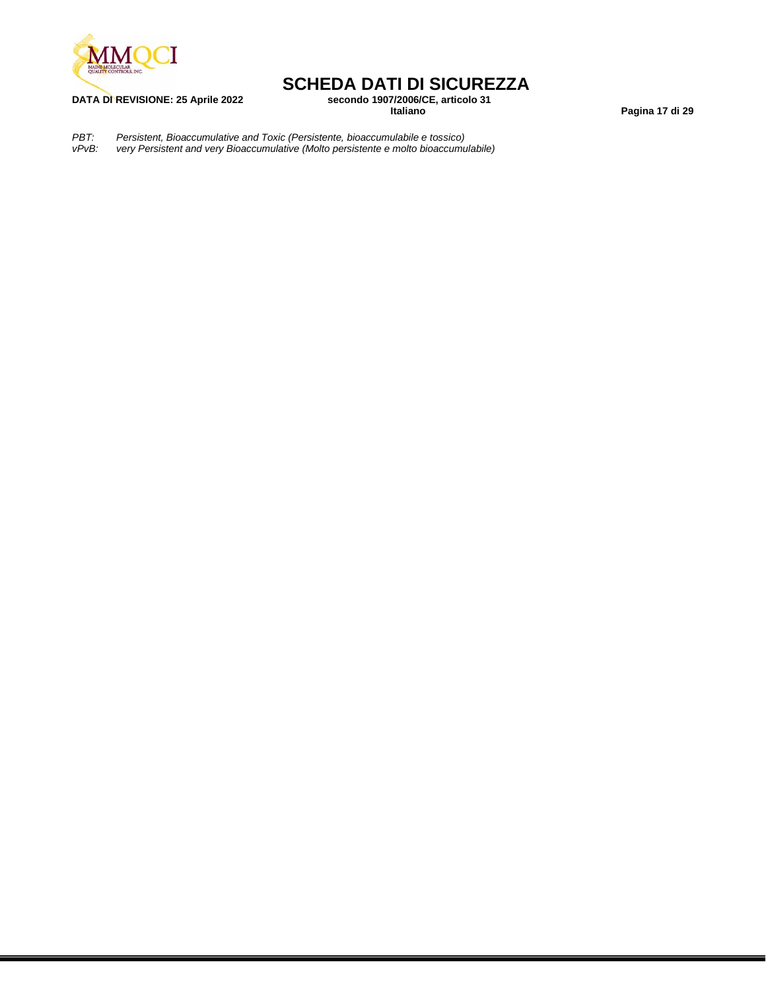

# **SCHEDA DATI DI SICUREZZA**<br>secondo 1907/2006/CE, articolo 31

**DATA DI REVISIONE: 25 Aprile 2022 secondo 1907/2006/C**<br>Italiano

**Italiano Pagina 17 di 29**

*PBT: Persistent, Bioaccumulative and Toxic (Persistente, bioaccumulabile e tossico) vPvB: very Persistent and very Bioaccumulative (Molto persistente e molto bioaccumulabile)*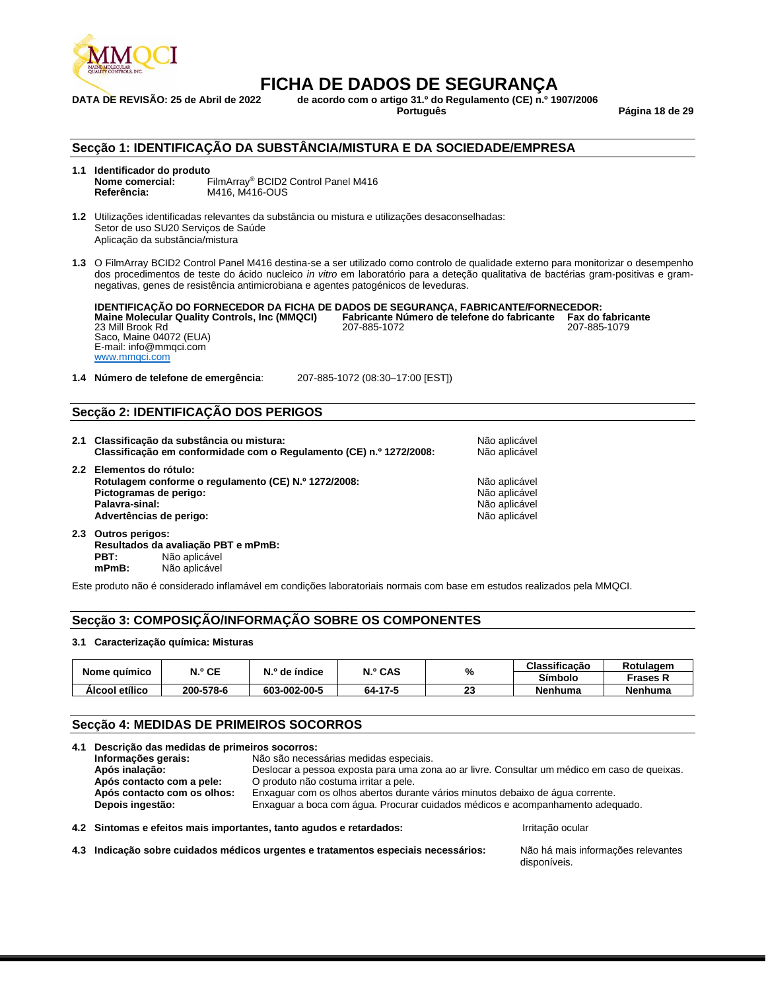

## **FICHA DE DADOS DE SEGURANÇA**<br>DATA DE REVISÃO: 25 de Abril de 2022 de acordo com o artigo 31.º do Regulamento (CE) n.º 19

**DATA DE REVISÃO: 25 de Abril de 2022 de acordo com o artigo 31.º do Regulamento (CE) n.º 1907/2006**

**Português Página 18 de 29**

#### **Secção 1: IDENTIFICAÇÃO DA SUBSTÂNCIA/MISTURA E DA SOCIEDADE/EMPRESA**

### **1.1 Identificador do produto**

**Nome comercial:** FilmArray® BCID2 Control Panel M416 **Referência:** M416, M416-OUS

**1.2** Utilizações identificadas relevantes da substância ou mistura e utilizações desaconselhadas: Setor de uso SU20 Serviços de Saúde Aplicação da substância/mistura

**1.3** O FilmArray BCID2 Control Panel M416 destina-se a ser utilizado como controlo de qualidade externo para monitorizar o desempenho dos procedimentos de teste do ácido nucleico *in vitro* em laboratório para a deteção qualitativa de bactérias gram-positivas e gramnegativas, genes de resistência antimicrobiana e agentes patogénicos de leveduras.

**IDENTIFICAÇÃO DO FORNECEDOR DA FICHA DE DADOS DE SEGURANÇA, FABRICANTE/FORNECEDOR: Maine Molecular Quality Controls, Inc (MMQCI) Fabricante Número de telefone do fabricante Fax do fabricante** 23 Mill Brook Rd 207-885-1072 207-885-1079 Saco, Maine 04072 (EUA) E-mail: info@mmqci.com [www.mmqci.com](http://www.mmqci.com/)

**1.4 Número de telefone de emergência**: 207-885-1072 (08:30–17:00 [EST])

#### **Secção 2: IDENTIFICAÇÃO DOS PERIGOS**

| 2.1 Classificação da substância ou mistura:<br>Classificação em conformidade com o Regulamento (CE) n.º 1272/2008:                                      | Não aplicável<br>Não aplicável                                   |
|---------------------------------------------------------------------------------------------------------------------------------------------------------|------------------------------------------------------------------|
| 2.2 Elementos do rótulo:<br>Rotulagem conforme o regulamento (CE) N.º 1272/2008:<br>Pictogramas de perigo:<br>Palavra-sinal:<br>Advertências de perigo: | Não aplicável<br>Não aplicável<br>Não aplicável<br>Não aplicável |
| 2.3 Outros perigos:                                                                                                                                     |                                                                  |

**Resultados da avaliação PBT e mPmB: PBT:** Não aplicável<br> **mPmB:** Não aplicável **mPmB:** Não aplicável

Este produto não é considerado inflamável em condições laboratoriais normais com base em estudos realizados pela MMQCI.

#### **Secção 3: COMPOSIÇÃO/INFORMAÇÃO SOBRE OS COMPONENTES**

#### **3.1 Caracterização química: Misturas**

|                | N.º CE    | N.º de índice | <b>N.º CAS</b><br>% |           | Classificação  | Rotulagem       |
|----------------|-----------|---------------|---------------------|-----------|----------------|-----------------|
| Nome guímico   |           |               |                     |           | <b>Símbolo</b> | <b>Frases R</b> |
| Alcool etílico | 200-578-6 | 603-002-00-5  | 64-17-5             | nn.<br>دے | <b>Nenhuma</b> | Nenhuma         |

#### **Secção 4: MEDIDAS DE PRIMEIROS SOCORROS**

|                                                                                                               | 4.1 Descrição das medidas de primeiros socorros:                                             |                  |  |  |  |  |
|---------------------------------------------------------------------------------------------------------------|----------------------------------------------------------------------------------------------|------------------|--|--|--|--|
| Informações gerais:                                                                                           | Não são necessárias medidas especiais.                                                       |                  |  |  |  |  |
| Após inalação:                                                                                                | Deslocar a pessoa exposta para uma zona ao ar livre. Consultar um médico em caso de queixas. |                  |  |  |  |  |
| Após contacto com a pele:                                                                                     | O produto não costuma irritar a pele.                                                        |                  |  |  |  |  |
| Após contacto com os olhos:<br>Enxaguar com os olhos abertos durante vários minutos debaixo de água corrente. |                                                                                              |                  |  |  |  |  |
| Enxaguar a boca com água. Procurar cuidados médicos e acompanhamento adequado.<br>Depois ingestão:            |                                                                                              |                  |  |  |  |  |
|                                                                                                               | 4.2 Sintomas e efeitos mais importantes, tanto agudos e retardados:                          | Irritação ocular |  |  |  |  |

**4.3 Indicação sobre cuidados médicos urgentes e tratamentos especiais necessários:** Não há mais informações relevantes

disponíveis.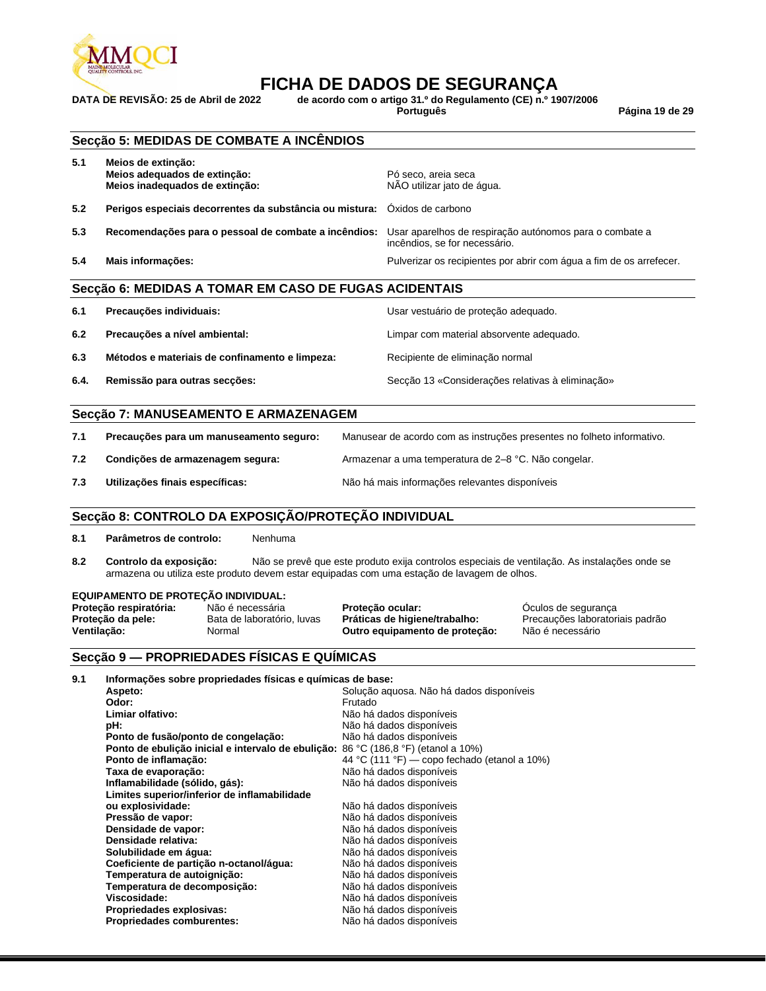

## **FICHA DE DADOS DE SEGURANÇA**<br>DATA DE REVISÃO: 25 de Abril de 2022 de acordo com o artigo 31.º do Regulamento (CE) n.º 19

**DATA DE REVISÃO: 25 de Abril de 2022 de acordo com o artigo 31.º do Regulamento (CE) n.º 1907/2006**

**Português Página 19 de 29**

|      | Secção 5: MEDIDAS DE COMBATE A INCÊNDIOS                                             |                                                                                          |
|------|--------------------------------------------------------------------------------------|------------------------------------------------------------------------------------------|
| 5.1  | Meios de extinção:<br>Meios adequados de extinção:<br>Meios inadequados de extinção: | Pó seco, areia seca<br>NÃO utilizar jato de água.                                        |
| 5.2  | Perigos especiais decorrentes da substância ou mistura:                              | Óxidos de carbono                                                                        |
| 5.3  | Recomendações para o pessoal de combate a incêndios:                                 | Usar aparelhos de respiração autónomos para o combate a<br>incêndios, se for necessário. |
| 5.4  | Mais informações:                                                                    | Pulverizar os recipientes por abrir com água a fim de os arrefecer.                      |
|      | Secção 6: MEDIDAS A TOMAR EM CASO DE FUGAS ACIDENTAIS                                |                                                                                          |
| 6.1  | Precauções individuais:                                                              | Usar vestuário de proteção adequado.                                                     |
| 6.2  | Precauções a nível ambiental:                                                        | Limpar com material absorvente adequado.                                                 |
| 6.3  | Métodos e materiais de confinamento e limpeza:                                       | Recipiente de eliminação normal                                                          |
| 6.4. | Remissão para outras secções:                                                        | Secção 13 «Considerações relativas à eliminação»                                         |
|      | Secção 7: MANUSEAMENTO E ARMAZENAGEM                                                 |                                                                                          |
| 7.1  | Precauções para um manuseamento seguro:                                              | Manusear de acordo com as instruções presentes no folheto informativo.                   |
| 7.2  | Condições de armazenagem segura:                                                     | Armazenar a uma temperatura de 2-8 °C. Não congelar.                                     |
| 7.3  | Utilizações finais específicas:                                                      | Não há mais informações relevantes disponíveis                                           |
|      | Secção 8: CONTROLO DA EXPOSIÇÃO/PROTEÇÃO INDIVIDUAL                                  |                                                                                          |
| 8.1  | Parâmetros de controlo:<br>Nenhuma                                                   |                                                                                          |

**8.2 Controlo da exposição:** Não se prevê que este produto exija controlos especiais de ventilação. As instalações onde se armazena ou utiliza este produto devem estar equipadas com uma estação de lavagem de olhos.

## **EQUIPAMENTO DE PROTEÇÃO INDIVIDUAL:**

**Proteção respiratória:** Não é necessária **Proteção ocular:** Óculos de segurança **Ventilação:** Normal **Outro equipamento de proteção:** Não é necessário

Precauções laboratoriais padrão

#### **Secção 9 — PROPRIEDADES FÍSICAS E QUÍMICAS**

| 9.1 | Informações sobre propriedades físicas e químicas de base:                         |                                              |
|-----|------------------------------------------------------------------------------------|----------------------------------------------|
|     | Aspeto:                                                                            | Solução aguosa. Não há dados disponíveis     |
|     | Odor:                                                                              | Frutado                                      |
|     | Limiar olfativo:                                                                   | Não há dados disponíveis                     |
|     | pH:                                                                                | Não há dados disponíveis                     |
|     | Ponto de fusão/ponto de congelação:                                                | Não há dados disponíveis                     |
|     | Ponto de ebulição inicial e intervalo de ebulição: 86 °C (186,8 °F) (etanol a 10%) |                                              |
|     | Ponto de inflamação:                                                               | 44 °C (111 °F) — copo fechado (etanol a 10%) |
|     | Taxa de evaporação:                                                                | Não há dados disponíveis                     |
|     | Inflamabilidade (sólido, gás):                                                     | Não há dados disponíveis                     |
|     | Limites superior/inferior de inflamabilidade                                       |                                              |
|     | ou explosividade:                                                                  | Não há dados disponíveis                     |
|     | Pressão de vapor:                                                                  | Não há dados disponíveis                     |
|     | Densidade de vapor:                                                                | Não há dados disponíveis                     |
|     | Densidade relativa:                                                                | Não há dados disponíveis                     |
|     | Solubilidade em água:                                                              | Não há dados disponíveis                     |
|     | Coeficiente de partição n-octanol/água:                                            | Não há dados disponíveis                     |
|     | Temperatura de autoignição:                                                        | Não há dados disponíveis                     |
|     | Temperatura de decomposição:                                                       | Não há dados disponíveis                     |
|     | Viscosidade:                                                                       | Não há dados disponíveis                     |
|     | Propriedades explosivas:                                                           | Não há dados disponíveis                     |
|     | <b>Propriedades comburentes:</b>                                                   | Não há dados disponíveis                     |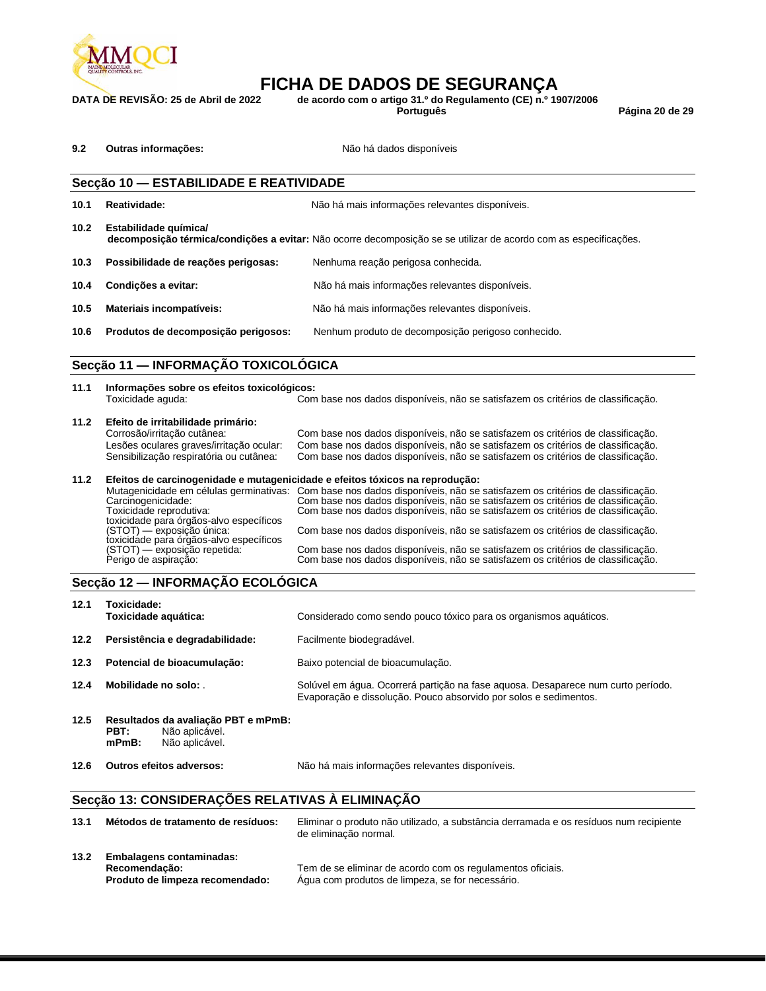

## **FICHA DE DADOS DE SEGURANÇA**<br>DATA DE REVISÃO: 25 de Abril de 2022 de acordo com o artigo 31.º do Regulamento (CE) n.º 19

**DATA DE REVISÃO: 25 de Abril de 2022 de acordo com o artigo 31.º do Regulamento (CE) n.º 1907/2006**

**Português Página 20 de 29**

| 9.2 | Outras informações: | Não há dados disponíveis |
|-----|---------------------|--------------------------|
|-----|---------------------|--------------------------|

## **Secção 10 — ESTABILIDADE E REATIVIDADE 10.1 Reatividade:** Não há mais informações relevantes disponíveis. **10.2 Estabilidade química/ decomposição térmica/condições a evitar:** Não ocorre decomposição se se utilizar de acordo com as especificações. **10.3 Possibilidade de reações perigosas:** Nenhuma reação perigosa conhecida. **10.4 Condições a evitar:** Não há mais informações relevantes disponíveis. **10.5 Materiais incompatíveis:** Não há mais informações relevantes disponíveis. **10.6 Produtos de decomposição perigosos:** Nenhum produto de decomposição perigoso conhecido. **Secção 11 — INFORMAÇÃO TOXICOLÓGICA**

| 11.1 | Informações sobre os efeitos toxicológicos:                                  |                                                                                                                          |  |  |  |  |
|------|------------------------------------------------------------------------------|--------------------------------------------------------------------------------------------------------------------------|--|--|--|--|
|      | Toxicidade aguda:                                                            | Com base nos dados disponíveis, não se satisfazem os critérios de classificação.                                         |  |  |  |  |
| 11.2 | Efeito de irritabilidade primário:                                           |                                                                                                                          |  |  |  |  |
|      | Corrosão/irritação cutânea:                                                  | Com base nos dados disponíveis, não se satisfazem os critérios de classificação.                                         |  |  |  |  |
|      | Lesões oculares graves/irritação ocular:                                     | Com base nos dados disponíveis, não se satisfazem os critérios de classificação.                                         |  |  |  |  |
|      | Sensibilização respiratória ou cutânea:                                      | Com base nos dados disponíveis, não se satisfazem os critérios de classificação.                                         |  |  |  |  |
|      |                                                                              |                                                                                                                          |  |  |  |  |
| 11.2 | Efeitos de carcinogenidade e mutagenicidade e efeitos tóxicos na reprodução: |                                                                                                                          |  |  |  |  |
|      |                                                                              | Mutagenicidade em células germinativas: Com base nos dados disponíveis, não se satisfazem os critérios de classificação. |  |  |  |  |
|      | Carcinogenicidade:                                                           | Com base nos dados disponíveis, não se satisfazem os critérios de classificação.                                         |  |  |  |  |
|      | Toxicidade reprodutiva:                                                      | Com base nos dados disponíveis, não se satisfazem os critérios de classificação.                                         |  |  |  |  |
|      | toxicidade para órgãos-alvo específicos                                      |                                                                                                                          |  |  |  |  |
|      | (STOT) — exposição única:                                                    | Com base nos dados disponíveis, não se satisfazem os critérios de classificação.                                         |  |  |  |  |
|      | toxicidade para órgãos-alvo específicos                                      |                                                                                                                          |  |  |  |  |
|      | (STOT) — exposição repetida:                                                 | Com base nos dados disponíveis, não se satisfazem os critérios de classificação.                                         |  |  |  |  |
|      | Perigo de aspiração:                                                         | Com base nos dados disponíveis, não se satisfazem os critérios de classificação.                                         |  |  |  |  |

#### **Secção 12 — INFORMAÇÃO ECOLÓGICA**

| 12.1 | Toxicidade:<br>Toxicidade aquática:                                                         | Considerado como sendo pouco tóxico para os organismos aguáticos.                                                                                    |
|------|---------------------------------------------------------------------------------------------|------------------------------------------------------------------------------------------------------------------------------------------------------|
| 12.2 | Persistência e degradabilidade:                                                             | Facilmente biodegradável.                                                                                                                            |
| 12.3 | Potencial de bioacumulação:                                                                 | Baixo potencial de bioacumulação.                                                                                                                    |
| 12.4 | Mobilidade no solo:                                                                         | Solúvel em água. Ocorrerá particão na fase aguosa. Desaparece num curto período.<br>Evaporação e dissolução. Pouco absorvido por solos e sedimentos. |
| 12.5 | Resultados da avaliação PBT e mPmB:<br>Não aplicável.<br>PBT:<br>Não aplicável.<br>$mPmB$ : |                                                                                                                                                      |

**12.6 Outros efeitos adversos:** Não há mais informações relevantes disponíveis.

#### **Secção 13: CONSIDERAÇÕES RELATIVAS À ELIMINAÇÃO**

| 13.1 | Métodos de tratamento de resíduos:                                                  | Eliminar o produto não utilizado, a substância derramada e os resíduos num recipiente<br>de eliminação normal. |
|------|-------------------------------------------------------------------------------------|----------------------------------------------------------------------------------------------------------------|
| 13.2 | <b>Embalagens contaminadas:</b><br>Recomendação:<br>Produto de limpeza recomendado: | Tem de se eliminar de acordo com os regulamentos oficiais.<br>Aqua com produtos de limpeza, se for necessário. |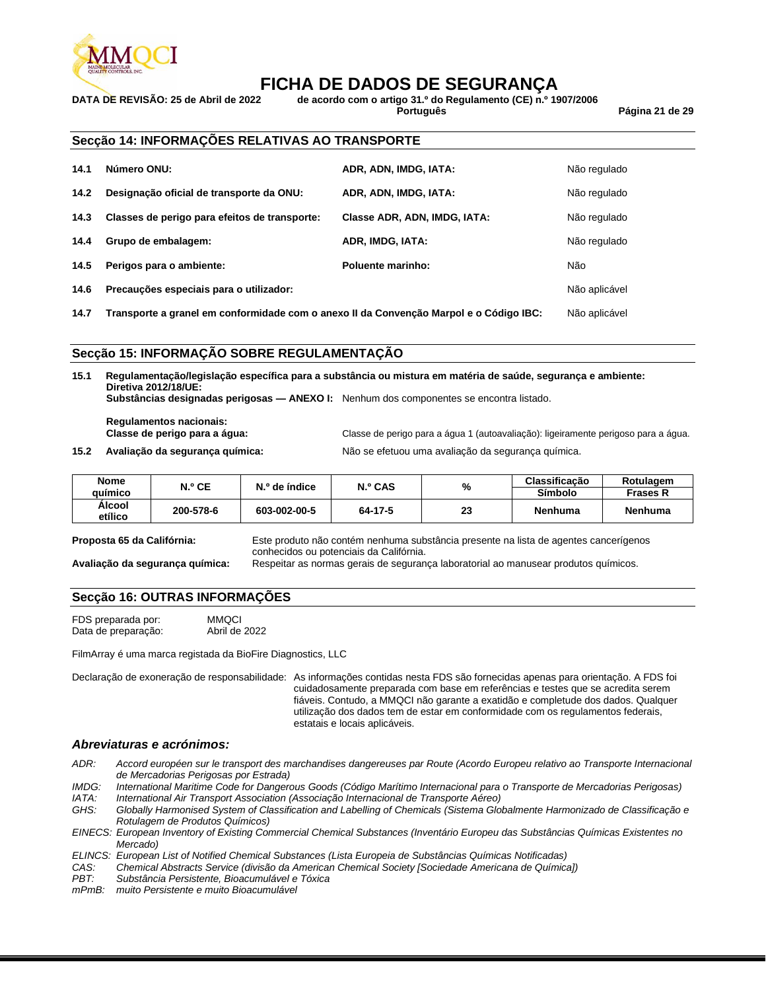

## **FICHA DE DADOS DE SEGURANÇA**<br>1991 para de Revisão: 25 de Abril de 2022 de acordo com o artigo 31.º do Regulamento (CE) n.º

**DATA DE REVISÃO: 25 de Abril de 2022 de acordo com o artigo 31.º do Regulamento (CE) n.º 1907/2006**

**Português Página 21 de 29**

#### **Secção 14: INFORMAÇÕES RELATIVAS AO TRANSPORTE**

| 14.1 | Número ONU:                                   | ADR, ADN, IMDG, IATA:        | Não regulado  |
|------|-----------------------------------------------|------------------------------|---------------|
| 14.2 | Designação oficial de transporte da ONU:      | ADR, ADN, IMDG, IATA:        | Não regulado  |
| 14.3 | Classes de perigo para efeitos de transporte: | Classe ADR, ADN, IMDG, IATA: | Não regulado  |
| 14.4 | Grupo de embalagem:                           | ADR, IMDG, IATA:             | Não regulado  |
| 14.5 | Perigos para o ambiente:                      | Poluente marinho:            | Não           |
| 14.6 | Precauções especiais para o utilizador:       |                              | Não aplicável |

**14.7 Transporte a granel em conformidade com o anexo II da Convenção Marpol e o Código IBC:** Não aplicável

#### **Secção 15: INFORMAÇÃO SOBRE REGULAMENTAÇÃO**

**15.1 Regulamentação/legislação específica para a substância ou mistura em matéria de saúde, segurança e ambiente: Diretiva 2012/18/UE:**

**Substâncias designadas perigosas — ANEXO I:** Nenhum dos componentes se encontra listado.

**Regulamentos nacionais:**

**15.2 Avaliação da segurança química:** Não se efetuou uma avaliação da segurança química.

**Classe de perigo para a água:** Classe de perigo para a água 1 (autoavaliação): ligeiramente perigoso para a água.

| <b>Nome</b><br>auímico | N.º CE    | N.º de índice | N.º CAS | %  | Classificação<br>Símbolo | Rotulagem<br>Frases R |
|------------------------|-----------|---------------|---------|----|--------------------------|-----------------------|
| Alcool<br>etílico      | 200-578-6 | 603-002-00-5  | 64-17-5 | 23 | <b>Nenhuma</b>           | <b>Nenhuma</b>        |

**Proposta 65 da Califórnia:** Este produto não contém nenhuma substância presente na lista de agentes cancerígenos conhecidos ou potenciais da Califórnia.

**Avaliação da segurança química:** Respeitar as normas gerais de segurança laboratorial ao manusear produtos químicos.

#### **Secção 16: OUTRAS INFORMAÇÕES**

FDS preparada por: MMQCI<br>Data de preparação: Abril de 2022 Data de preparação:

FilmArray é uma marca registada da BioFire Diagnostics, LLC

Declaração de exoneração de responsabilidade: As informações contidas nesta FDS são fornecidas apenas para orientação. A FDS foi cuidadosamente preparada com base em referências e testes que se acredita serem fiáveis. Contudo, a MMQCI não garante a exatidão e completude dos dados. Qualquer utilização dos dados tem de estar em conformidade com os regulamentos federais, estatais e locais aplicáveis.

#### *Abreviaturas e acrónimos:*

- *ADR: Accord européen sur le transport des marchandises dangereuses par Route (Acordo Europeu relativo ao Transporte Internacional de Mercadorias Perigosas por Estrada)*
- *IMDG: International Maritime Code for Dangerous Goods (Código Marítimo Internacional para o Transporte de Mercadorias Perigosas) IATA: International Air Transport Association (Associação Internacional de Transporte Aéreo)*

*GHS: Globally Harmonised System of Classification and Labelling of Chemicals (Sistema Globalmente Harmonizado de Classificação e Rotulagem de Produtos Químicos)*

*EINECS: European Inventory of Existing Commercial Chemical Substances (Inventário Europeu das Substâncias Químicas Existentes no Mercado)*

*ELINCS: European List of Notified Chemical Substances (Lista Europeia de Substâncias Químicas Notificadas)*

*CAS: Chemical Abstracts Service (divisão da American Chemical Society [Sociedade Americana de Química])*

*PBT: Substância Persistente, Bioacumulável e Tóxica*

*mPmB: muito Persistente e muito Bioacumulável*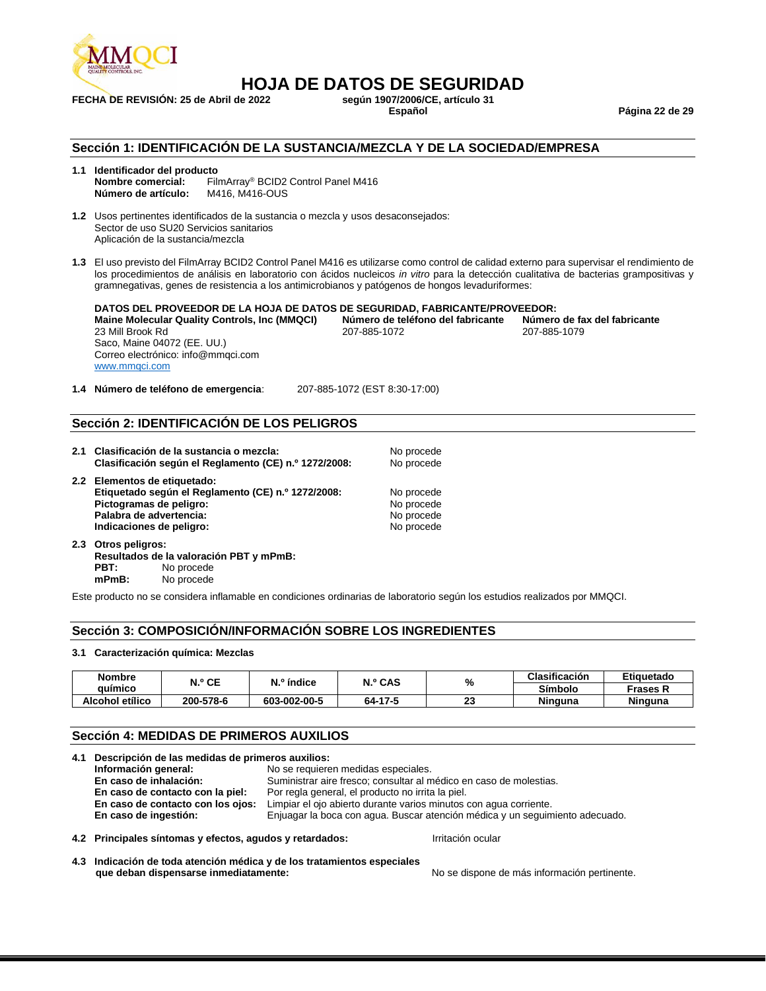

**FECHA DE REVISIÓN: 25 de Abril de 2022 según 1907/2006/C<br>Español** 

## **HOJA DE DATOS DE SEGURIDAD**

**Español Página 22 de 29**

#### **Sección 1: IDENTIFICACIÓN DE LA SUSTANCIA/MEZCLA Y DE LA SOCIEDAD/EMPRESA**

### **1.1 Identificador del producto**

**Nombre comercial:** FilmArray® BCID2 Control Panel M416 **Número de artículo:** M416, M416-OUS

**1.2** Usos pertinentes identificados de la sustancia o mezcla y usos desaconsejados: Sector de uso SU20 Servicios sanitarios Aplicación de la sustancia/mezcla

**1.3** El uso previsto del FilmArray BCID2 Control Panel M416 es utilizarse como control de calidad externo para supervisar el rendimiento de los procedimientos de análisis en laboratorio con ácidos nucleicos *in vitro* para la detección cualitativa de bacterias grampositivas y gramnegativas, genes de resistencia a los antimicrobianos y patógenos de hongos levaduriformes:

**DATOS DEL PROVEEDOR DE LA HOJA DE DATOS DE SEGURIDAD, FABRICANTE/PROVEEDOR: Maine Molecular Quality Controls, Inc (MMQCI) Número de teléfono del fabricante Número de fax del fabricante** 23 Mill Brook Rd Saco, Maine 04072 (EE. UU.) Correo electrónico: info@mmqci.com [www.mmqci.com](http://www.mmqci.com/)

**1.4 Número de teléfono de emergencia**: 207-885-1072 (EST 8:30-17:00)

#### **Sección 2: IDENTIFICACIÓN DE LOS PELIGROS**

| 2.1 Clasificación de la sustancia o mezcla:<br>Clasificación según el Reglamento (CE) n.º 1272/2008:                                                                 | No procede<br>No procede                             |
|----------------------------------------------------------------------------------------------------------------------------------------------------------------------|------------------------------------------------------|
| 2.2 Elementos de etiquetado:<br>Etiquetado según el Reglamento (CE) n.º 1272/2008:<br>Pictogramas de peligro:<br>Palabra de advertencia:<br>Indicaciones de peligro: | No procede<br>No procede<br>No procede<br>No procede |

**2.3 Otros peligros: Resultados de la valoración PBT y mPmB: PBT:** No procede **mPmB:** No procede

Este producto no se considera inflamable en condiciones ordinarias de laboratorio según los estudios realizados por MMQCI.

#### **Sección 3: COMPOSICIÓN/INFORMACIÓN SOBRE LOS INGREDIENTES**

#### **3.1 Caracterización química: Mezclas**

| <b>Nombre</b>   |                      |              | N.º CAS | %        | Clasificación  | Etiquetado     |
|-----------------|----------------------|--------------|---------|----------|----------------|----------------|
| auimico         | N.º CE<br>N.º índice |              |         | Símbolo  | Frases R       |                |
| Alcohol etílico | 200-578-6            | 603-002-00-5 | 64-17-5 | n.<br>-- | <b>Ninguna</b> | <b>Ninguna</b> |

#### **Sección 4: MEDIDAS DE PRIMEROS AUXILIOS**

| 4.1 Descripción de las medidas de primeros auxilios:     |                                                                              |
|----------------------------------------------------------|------------------------------------------------------------------------------|
| Información general:                                     | No se requieren medidas especiales.                                          |
| En caso de inhalación:                                   | Suministrar aire fresco; consultar al médico en caso de molestias.           |
| En caso de contacto con la piel:                         | Por regla general, el producto no irrita la piel.                            |
| En caso de contacto con los ojos:                        | Limpiar el ojo abierto durante varios minutos con agua corriente.            |
| En caso de ingestión:                                    | Enjuagar la boca con agua. Buscar atención médica y un seguimiento adecuado. |
| 4.2 Principales síntomas y efectos, agudos y retardados: | Irritación ocular                                                            |

**4.3 Indicación de toda atención médica y de los tratamientos especiales** 

No se dispone de más información pertinente.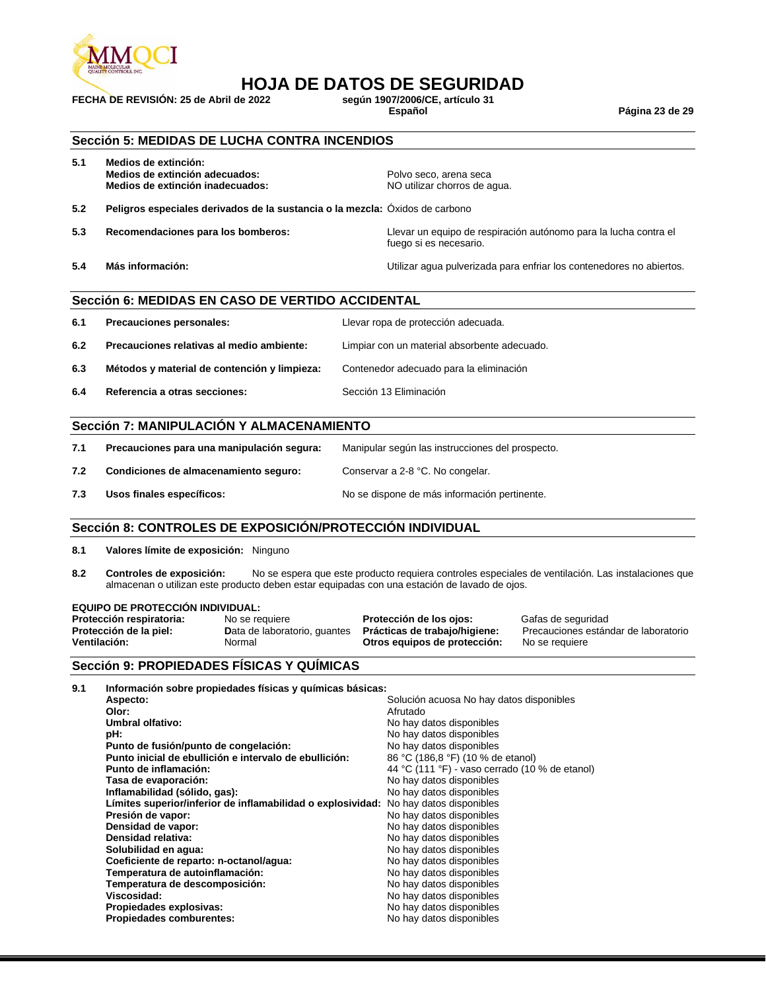

## **HOJA DE DATOS DE SEGURIDAD**<br>e 2022<br>e 2022<br>**Según 1907/2006/CE, artículo 31**

**FECHA DE REVISIÓN: 25 de Abril de 2022 según 1907/2006/C<br>Español** 

**Español Página 23 de 29**

#### **Sección 5: MEDIDAS DE LUCHA CONTRA INCENDIOS**

| 5.1 | Medios de extinción:<br>Medios de extinción adecuados:<br>Medios de extinción inadecuados: | Polvo seco, arena seca<br>NO utilizar chorros de agua.                                     |
|-----|--------------------------------------------------------------------------------------------|--------------------------------------------------------------------------------------------|
| 5.2 | Peligros especiales derivados de la sustancia o la mezcla: Óxidos de carbono               |                                                                                            |
| 5.3 | Recomendaciones para los bomberos:                                                         | Llevar un equipo de respiración autónomo para la lucha contra el<br>fuego si es necesario. |
| 5.4 | Más información:                                                                           | Utilizar agua pulverizada para enfriar los contenedores no abiertos.                       |

#### **Sección 6: MEDIDAS EN CASO DE VERTIDO ACCIDENTAL**

| 6.1 | Precauciones personales:                     | Llevar ropa de protección adecuada.          |
|-----|----------------------------------------------|----------------------------------------------|
| 6.2 | Precauciones relativas al medio ambiente:    | Limpiar con un material absorbente adecuado. |
| 6.3 | Métodos y material de contención y limpieza: | Contenedor adecuado para la eliminación      |
| 6.4 | Referencia a otras secciones:                | Sección 13 Eliminación                       |

#### **Sección 7: MANIPULACIÓN Y ALMACENAMIENTO**

| 7.1 | Precauciones para una manipulación segura: | Manipular según las instrucciones del prospecto. |
|-----|--------------------------------------------|--------------------------------------------------|
| 7.2 | Condiciones de almacenamiento seguro:      | Conservar a 2-8 °C. No congelar.                 |
| 7.3 | Usos finales específicos:                  | No se dispone de más información pertinente.     |

#### **Sección 8: CONTROLES DE EXPOSICIÓN/PROTECCIÓN INDIVIDUAL**

- **8.1 Valores límite de exposición:** Ninguno
- **8.2 Controles de exposición:** No se espera que este producto requiera controles especiales de ventilación. Las instalaciones que almacenan o utilizan este producto deben estar equipadas con una estación de lavado de ojos.

#### **EQUIPO DE PROTECCIÓN INDIVIDUAL:**

| Protección respiratoria: | No se requiere               | Protección de los ojos:       | Gafas de seguridad                   |
|--------------------------|------------------------------|-------------------------------|--------------------------------------|
| Protección de la piel:   | Data de laboratorio, quantes | Prácticas de trabajo/higiene: | Precauciones estándar de laboratorio |
| Ventilación:             | Normal                       | Otros equipos de protección:  | No se requiere                       |

#### **Sección 9: PROPIEDADES FÍSICAS Y QUÍMICAS**

| 9.1 | Información sobre propiedades físicas y químicas básicas:   |                                                |
|-----|-------------------------------------------------------------|------------------------------------------------|
|     | Aspecto:                                                    | Solución acuosa No hay datos disponibles       |
|     | Olor:                                                       | Afrutado                                       |
|     | Umbral olfativo:                                            | No hay datos disponibles                       |
|     | pH:                                                         | No hay datos disponibles                       |
|     | Punto de fusión/punto de congelación:                       | No hay datos disponibles                       |
|     | Punto inicial de ebullición e intervalo de ebullición:      | 86 °C (186,8 °F) (10 % de etanol)              |
|     | Punto de inflamación:                                       | 44 °C (111 °F) - vaso cerrado (10 % de etanol) |
|     | Tasa de evaporación:                                        | No hay datos disponibles                       |
|     | Inflamabilidad (sólido, gas):                               | No hay datos disponibles                       |
|     | Límites superior/inferior de inflamabilidad o explosividad: | No hay datos disponibles                       |
|     | Presión de vapor:                                           | No hay datos disponibles                       |
|     | Densidad de vapor:                                          | No hay datos disponibles                       |
|     | Densidad relativa:                                          | No hay datos disponibles                       |
|     | Solubilidad en agua:                                        | No hay datos disponibles                       |
|     | Coeficiente de reparto: n-octanol/agua:                     | No hay datos disponibles                       |
|     | Temperatura de autoinflamación:                             | No hay datos disponibles                       |
|     | Temperatura de descomposición:                              | No hay datos disponibles                       |
|     | Viscosidad:                                                 | No hay datos disponibles                       |
|     | Propiedades explosivas:                                     | No hay datos disponibles                       |
|     | <b>Propiedades comburentes:</b>                             | No hay datos disponibles                       |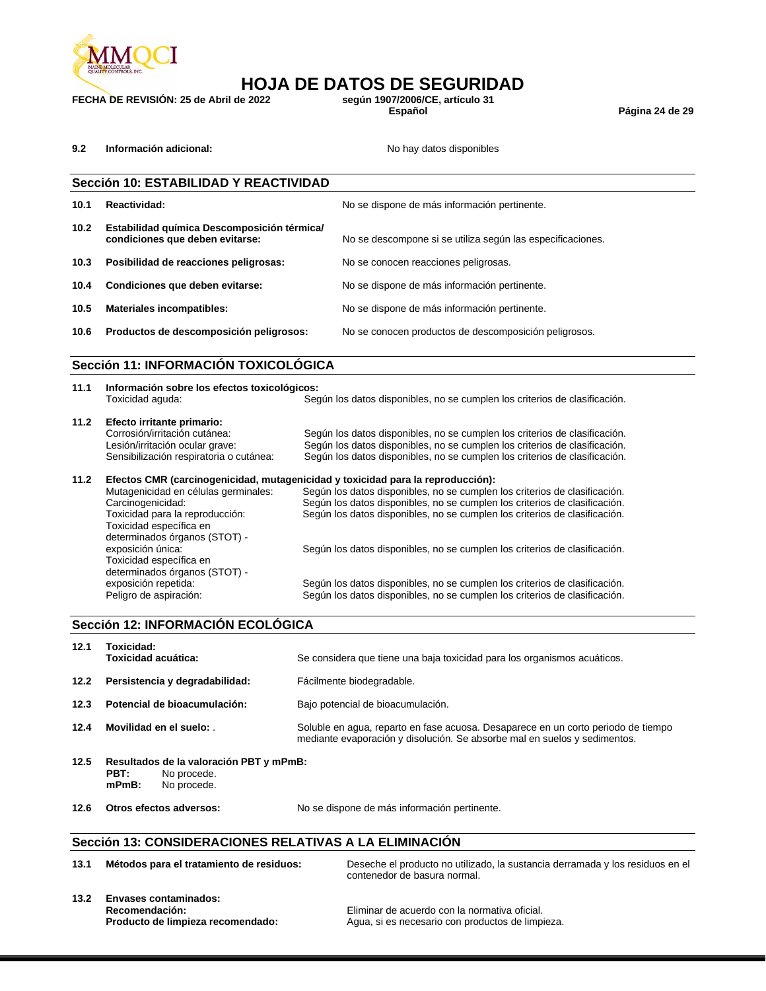

## **HOJA DE DATOS DE SEGURIDAD**<br>le 2022 según 1907/2006/CE, artículo 31

**FECHA DE REVISIÓN: 25 de Abril de 2022 según 1907/2006/C<br>Español** 

**Español Página 24 de 29**

**9.2 Información adicional: No hay datos disponibles No hay datos disponibles** 

|                   | Sección 10: ESTABILIDAD Y REACTIVIDAD                                          |                                                            |  |
|-------------------|--------------------------------------------------------------------------------|------------------------------------------------------------|--|
| 10.1              | Reactividad:                                                                   | No se dispone de más información pertinente.               |  |
| 10.2 <sub>1</sub> | Estabilidad química Descomposición térmica/<br>condiciones que deben evitarse: | No se descompone si se utiliza según las especificaciones. |  |
| 10.3              | Posibilidad de reacciones peligrosas:                                          | No se conocen reacciones peligrosas.                       |  |
| 10.4              | Condiciones que deben evitarse:                                                | No se dispone de más información pertinente.               |  |
| 10.5              | <b>Materiales incompatibles:</b>                                               | No se dispone de más información pertinente.               |  |
| 10.6              | Productos de descomposición peligrosos:                                        | No se conocen productos de descomposición peligrosos.      |  |

### **Sección 11: INFORMACIÓN TOXICOLÓGICA**

| Información sobre los efectos toxicológicos: |                                                                                                      |
|----------------------------------------------|------------------------------------------------------------------------------------------------------|
|                                              | Según los datos disponibles, no se cumplen los criterios de clasificación.                           |
| Efecto irritante primario:                   |                                                                                                      |
| Corrosión/irritación cutánea:                | Según los datos disponibles, no se cumplen los criterios de clasificación.                           |
| Lesión/irritación ocular grave:              | Según los datos disponibles, no se cumplen los criterios de clasificación.                           |
| Sensibilización respiratoria o cutánea:      | Según los datos disponibles, no se cumplen los criterios de clasificación.                           |
|                                              | Efectos CMR (carcinogenicidad, mutagenicidad y toxicidad para la reproducción):                      |
| Mutagenicidad en células germinales:         | Según los datos disponibles, no se cumplen los criterios de clasificación.                           |
| Carcinogenicidad:                            | Según los datos disponibles, no se cumplen los criterios de clasificación.                           |
| Toxicidad para la reproducción:              | Según los datos disponibles, no se cumplen los criterios de clasificación.                           |
| Toxicidad específica en                      |                                                                                                      |
| determinados órganos (STOT) -                |                                                                                                      |
| exposición única:                            | Según los datos disponibles, no se cumplen los criterios de clasificación.                           |
|                                              |                                                                                                      |
|                                              |                                                                                                      |
|                                              | Según los datos disponibles, no se cumplen los criterios de clasificación.                           |
| Peligro de aspiración:                       | Según los datos disponibles, no se cumplen los criterios de clasificación.                           |
|                                              | Toxicidad aguda:<br>Toxicidad específica en<br>determinados órganos (STOT) -<br>exposición repetida: |

#### **Sección 12: INFORMACIÓN ECOLÓGICA**

| 12.1 | Toxicidad:<br>Toxicidad acuática:                               | Se considera que tiene una baja toxicidad para los organismos acuáticos.                                                                                       |
|------|-----------------------------------------------------------------|----------------------------------------------------------------------------------------------------------------------------------------------------------------|
| 12.2 | Persistencia y degradabilidad:                                  | Fácilmente biodegradable.                                                                                                                                      |
| 12.3 | Potencial de bioacumulación:                                    | Bajo potencial de bioacumulación.                                                                                                                              |
| 12.4 | Movilidad en el suelo:                                          | Soluble en agua, reparto en fase acuosa. Desaparece en un corto periodo de tiempo<br>mediante evaporación y disolución. Se absorbe mal en suelos y sedimentos. |
| 12.5 | Resultados de la valoración PBT y mPmB:<br><b>DDT.</b> Newcords |                                                                                                                                                                |

- **PBT:** No procede. **mPmB:** No procede.
- 

**12.6 Otros efectos adversos:** No se dispone de más información pertinente.

#### **Sección 13: CONSIDERACIONES RELATIVAS A LA ELIMINACIÓN**

| 13.1 | Métodos para el tratamiento de residuos:                                            | Deseche el producto no utilizado, la sustancia derramada y los residuos en el<br>contenedor de basura normal. |
|------|-------------------------------------------------------------------------------------|---------------------------------------------------------------------------------------------------------------|
| 13.2 | <b>Envases contaminados:</b><br>Recomendación:<br>Producto de limpieza recomendado: | Eliminar de acuerdo con la normativa oficial.<br>Agua, si es necesario con productos de limpieza.             |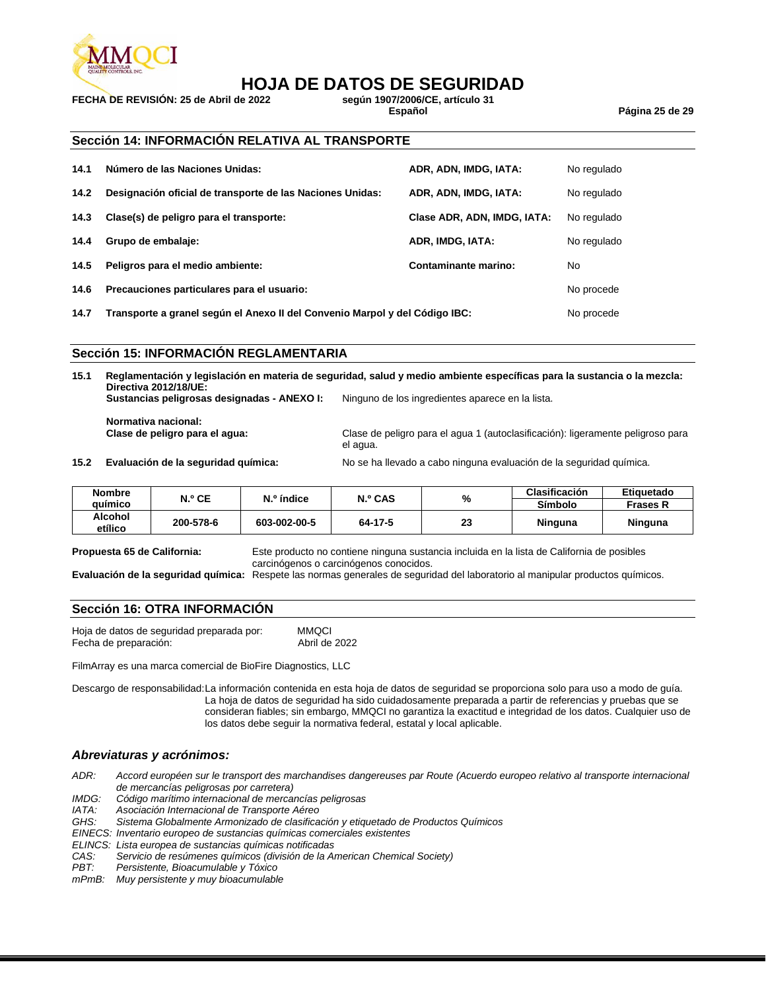

## **HOJA DE DATOS DE SEGURIDAD**

**FECHA DE REVISIÓN: 25 de Abril de 2022 según 1907/2006/C<br>Español** 

#### **Sección 14: INFORMACIÓN RELATIVA AL TRANSPORTE**

| 14.1 | Número de las Naciones Unidas:                            | ADR, ADN, IMDG, IATA:       | No regulado |
|------|-----------------------------------------------------------|-----------------------------|-------------|
| 14.2 | Designación oficial de transporte de las Naciones Unidas: | ADR, ADN, IMDG, IATA:       | No regulado |
| 14.3 | Clase(s) de peligro para el transporte:                   | Clase ADR, ADN, IMDG, IATA: | No regulado |
| 14.4 | Grupo de embalaje:                                        | ADR, IMDG, IATA:            | No regulado |
| 14.5 | Peligros para el medio ambiente:                          | Contaminante marino:        | No.         |
| 14.6 | Precauciones particulares para el usuario:                |                             | No procede  |
|      |                                                           |                             |             |

**14.7 Transporte a granel según el Anexo II del Convenio Marpol y del Código IBC:** No procede

#### **Sección 15: INFORMACIÓN REGLAMENTARIA**

**15.1 Reglamentación y legislación en materia de seguridad, salud y medio ambiente específicas para la sustancia o la mezcla: Directiva 2012/18/UE:**

**Sustancias peligrosas designadas - ANEXO I:** Ninguno de los ingredientes aparece en la lista.

**Normativa nacional:**

**Clase de peligro para el agua:** Clase de peligro para el agua 1 (autoclasificación): ligeramente peligroso para el agua.

**15.2 Evaluación de la seguridad química:** No se ha llevado a cabo ninguna evaluación de la seguridad química.

| <b>Nombre</b> | N.º CE    |              | N.º índice |    | N.º CAS |          |  | <b>Clasificación</b> | Etiquetado |
|---------------|-----------|--------------|------------|----|---------|----------|--|----------------------|------------|
| auimico       |           |              |            | %  | Símbolo | Frases R |  |                      |            |
| Alcohol       | 200-578-6 | 603-002-00-5 | 64-17-5    | ົ  | Ninguna | Ninguna  |  |                      |            |
| etílico       |           |              |            | 20 |         |          |  |                      |            |

**Propuesta 65 de California:** Este producto no contiene ninguna sustancia incluida en la lista de California de posibles carcinógenos o carcinógenos conocidos.

**Evaluación de la seguridad química:** Respete las normas generales de seguridad del laboratorio al manipular productos químicos.

#### **Sección 16: OTRA INFORMACIÓN**

Hoja de datos de seguridad preparada por: MMQCI Fecha de preparación:

FilmArray es una marca comercial de BioFire Diagnostics, LLC

Descargo de responsabilidad:La información contenida en esta hoja de datos de seguridad se proporciona solo para uso a modo de guía. La hoja de datos de seguridad ha sido cuidadosamente preparada a partir de referencias y pruebas que se consideran fiables; sin embargo, MMQCI no garantiza la exactitud e integridad de los datos. Cualquier uso de los datos debe seguir la normativa federal, estatal y local aplicable.

#### *Abreviaturas y acrónimos:*

*ADR: Accord européen sur le transport des marchandises dangereuses par Route (Acuerdo europeo relativo al transporte internacional de mercancías peligrosas por carretera)*

*IMDG: Código marítimo internacional de mercancías peligrosas*

*IATA: Asociación Internacional de Transporte Aéreo*

*GHS: Sistema Globalmente Armonizado de clasificación y etiquetado de Productos Químicos*

*EINECS: Inventario europeo de sustancias químicas comerciales existentes*

*ELINCS: Lista europea de sustancias químicas notificadas*

*CAS: Servicio de resúmenes químicos (división de la American Chemical Society)*

*PBT: Persistente, Bioacumulable y Tóxico*

*mPmB: Muy persistente y muy bioacumulable*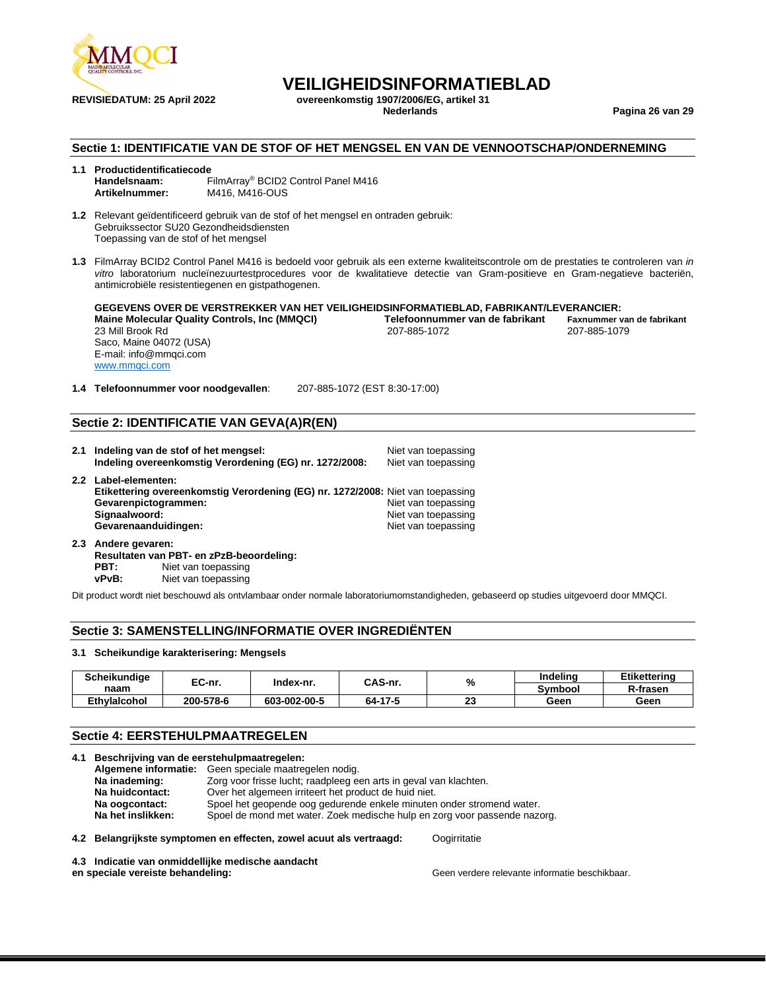

**REVISIEDATUM: 25 April 2022 overeenkomstig 1907/2006/EG, artikel 31**

**Nederlands Pagina 26 van 29**

#### **Sectie 1: IDENTIFICATIE VAN DE STOF OF HET MENGSEL EN VAN DE VENNOOTSCHAP/ONDERNEMING**

#### **1.1 Productidentificatiecode Handelsnaam:** FilmArray® BCID2 Control Panel M416 **Artikelnummer:** M416, M416-OUS

**1.2** Relevant geïdentificeerd gebruik van de stof of het mengsel en ontraden gebruik: Gebruikssector SU20 Gezondheidsdiensten Toepassing van de stof of het mengsel

**1.3** FilmArray BCID2 Control Panel M416 is bedoeld voor gebruik als een externe kwaliteitscontrole om de prestaties te controleren van *in vitro* laboratorium nucleïnezuurtestprocedures voor de kwalitatieve detectie van Gram-positieve en Gram-negatieve bacteriën, antimicrobiële resistentiegenen en gistpathogenen.

**GEGEVENS OVER DE VERSTREKKER VAN HET VEILIGHEIDSINFORMATIEBLAD, FABRIKANT/LEVERANCIER: Maine Molecular Quality Controls, Inc (MMQCI)** Telefoonnummer van de fabrikant **Faxnummer van de fabrikant**<br>207-885-1072 - <sup>207-885-1072</sup> - <sup>207-885-1072</sup> - <sup>207-885-1072</sup> 23 Mill Brook Rd Saco, Maine 04072 (USA) E-mail: info@mmqci.com [www.mmqci.com](http://www.mmqci.com/)

**1.4 Telefoonnummer voor noodgevallen**: 207-885-1072 (EST 8:30-17:00)

#### **Sectie 2: IDENTIFICATIE VAN GEVA(A)R(EN)**

|                  | 2.1 Indeling van de stof of het mengsel:<br>Indeling overeenkomstig Verordening (EG) nr. 1272/2008:                                                                  | Niet van toepassing<br>Niet van toepassing                        |
|------------------|----------------------------------------------------------------------------------------------------------------------------------------------------------------------|-------------------------------------------------------------------|
| 2.2 <sub>2</sub> | Label-elementen:<br>Etikettering overeenkomstig Verordening (EG) nr. 1272/2008: Niet van toepassing<br>Gevarenpictogrammen:<br>Signaalwoord:<br>Gevarenaanduidingen: | Niet van toepassing<br>Niet van toepassing<br>Niet van toepassing |

**2.3 Andere gevaren: Resultaten van PBT- en zPzB-beoordeling: PBT:** Niet van toepassing **vPvB:** Niet van toepassing

Dit product wordt niet beschouwd als ontvlambaar onder normale laboratoriumomstandigheden, gebaseerd op studies uitgevoerd door MMQCI.

#### **Sectie 3: SAMENSTELLING/INFORMATIE OVER INGREDIËNTEN**

#### **3.1 Scheikundige karakterisering: Mengsels**

| <b>Scheikundiae</b> | EC-nr.    | Index-nr.    | CAS-nr. | %        | Indelina       | Etikettering |
|---------------------|-----------|--------------|---------|----------|----------------|--------------|
| naam                |           |              |         |          | <b>Symbool</b> | R-frasen     |
| <b>Ethvlaicohol</b> | 200-578-6 | 603-002-00-5 | 64-17-5 | n.<br>40 | Geen           | Geen         |

#### **Sectie 4: EERSTEHULPMAATREGELEN**

| 4.1 | Beschrijving van de eerstehulpmaatregelen:                                                     |                                                                       |              |  |  |  |
|-----|------------------------------------------------------------------------------------------------|-----------------------------------------------------------------------|--------------|--|--|--|
|     |                                                                                                | Algemene informatie: Geen speciale maatregelen nodig.                 |              |  |  |  |
|     | Zorg voor frisse lucht; raadpleeg een arts in geval van klachten.<br>Na inademing:             |                                                                       |              |  |  |  |
|     | Over het algemeen irriteert het product de huid niet.<br>Na huidcontact:                       |                                                                       |              |  |  |  |
|     | Na oogcontact:                                                                                 | Spoel het geopende oog gedurende enkele minuten onder stromend water. |              |  |  |  |
|     | Na het inslikken:<br>Spoel de mond met water. Zoek medische hulp en zorg voor passende nazorg. |                                                                       |              |  |  |  |
|     |                                                                                                | 4.2 Belangrijkste symptomen en effecten, zowel acuut als vertraagd:   | Oogirritatie |  |  |  |

**4.3 Indicatie van onmiddellijke medische aandacht** 

**en speciale vereiste behandeling:** Geen verdere relevante informatie beschikbaar.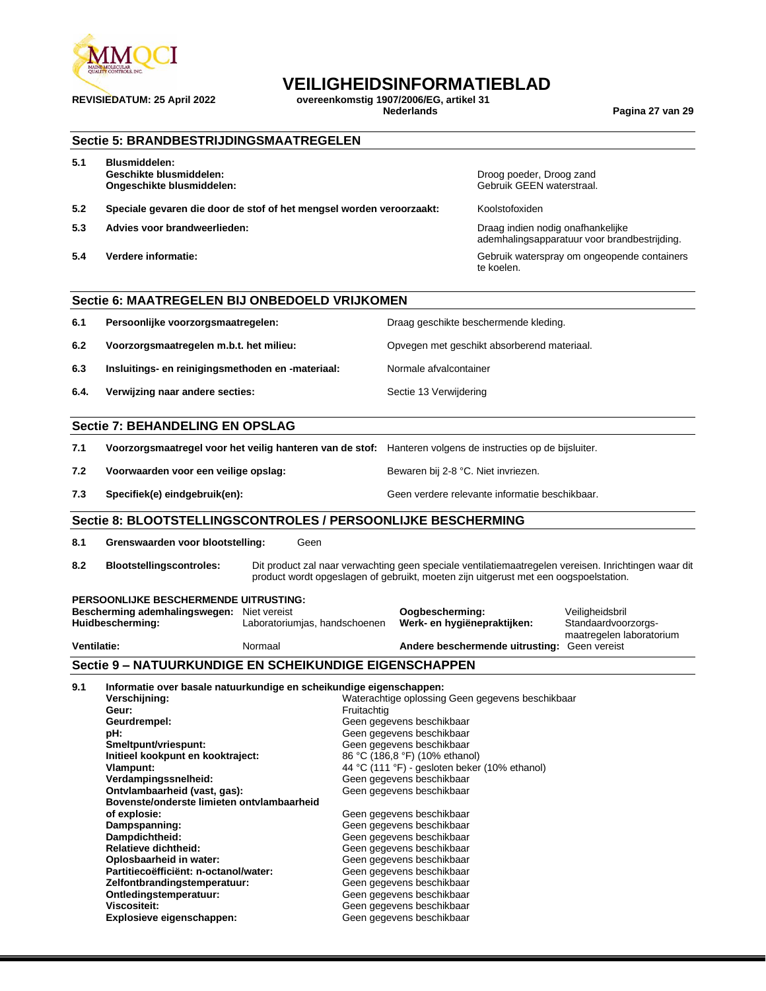

**REVISIEDATUM: 25 April 2022 overeenkomstig 1907/2006/EG, artikel 31 Nederlands Pagina 27 van 29**

|                                        | <b>Sectie 5: BRANDBESTRIJDINGSMAATREGELEN</b>                                                                 |                                                                                      |             |                                                                                                                                           |                                                       |                                                                                                      |
|----------------------------------------|---------------------------------------------------------------------------------------------------------------|--------------------------------------------------------------------------------------|-------------|-------------------------------------------------------------------------------------------------------------------------------------------|-------------------------------------------------------|------------------------------------------------------------------------------------------------------|
| 5.1                                    | <b>Blusmiddelen:</b><br>Geschikte blusmiddelen:<br>Ongeschikte blusmiddelen:                                  |                                                                                      |             |                                                                                                                                           | Droog poeder, Droog zand<br>Gebruik GEEN waterstraal. |                                                                                                      |
| 5.2                                    | Speciale gevaren die door de stof of het mengsel worden veroorzaakt:                                          |                                                                                      |             |                                                                                                                                           | Koolstofoxiden                                        |                                                                                                      |
| 5.3                                    | Advies voor brandweerlieden:                                                                                  |                                                                                      |             |                                                                                                                                           | Draag indien nodig onafhankelijke                     | ademhalingsapparatuur voor brandbestrijding.                                                         |
| 5.4                                    | Verdere informatie:                                                                                           |                                                                                      |             |                                                                                                                                           | te koelen.                                            | Gebruik waterspray om ongeopende containers                                                          |
|                                        | Sectie 6: MAATREGELEN BIJ ONBEDOELD VRIJKOMEN                                                                 |                                                                                      |             |                                                                                                                                           |                                                       |                                                                                                      |
| 6.1                                    | Persoonlijke voorzorgsmaatregelen:                                                                            |                                                                                      |             |                                                                                                                                           | Draag geschikte beschermende kleding.                 |                                                                                                      |
| 6.2                                    | Voorzorgsmaatregelen m.b.t. het milieu:                                                                       |                                                                                      |             |                                                                                                                                           | Opvegen met geschikt absorberend materiaal.           |                                                                                                      |
| 6.3                                    | Insluitings- en reinigingsmethoden en -materiaal:                                                             |                                                                                      |             | Normale afvalcontainer                                                                                                                    |                                                       |                                                                                                      |
| 6.4.                                   | Verwijzing naar andere secties:                                                                               |                                                                                      |             | Sectie 13 Verwijdering                                                                                                                    |                                                       |                                                                                                      |
| <b>Sectie 7: BEHANDELING EN OPSLAG</b> |                                                                                                               |                                                                                      |             |                                                                                                                                           |                                                       |                                                                                                      |
| 7.1                                    | Voorzorgsmaatregel voor het veilig hanteren van de stof: Hanteren volgens de instructies op de bijsluiter.    |                                                                                      |             |                                                                                                                                           |                                                       |                                                                                                      |
| 7.2                                    | Voorwaarden voor een veilige opslag:                                                                          |                                                                                      |             | Bewaren bij 2-8 °C. Niet invriezen.                                                                                                       |                                                       |                                                                                                      |
| 7.3                                    | Specifiek(e) eindgebruik(en):                                                                                 |                                                                                      |             |                                                                                                                                           | Geen verdere relevante informatie beschikbaar.        |                                                                                                      |
|                                        | Sectie 8: BLOOTSTELLINGSCONTROLES / PERSOONLIJKE BESCHERMING                                                  |                                                                                      |             |                                                                                                                                           |                                                       |                                                                                                      |
| 8.1                                    | Grenswaarden voor blootstelling:                                                                              | Geen                                                                                 |             |                                                                                                                                           |                                                       |                                                                                                      |
| 8.2                                    | <b>Blootstellingscontroles:</b>                                                                               | product wordt opgeslagen of gebruikt, moeten zijn uitgerust met een oogspoelstation. |             |                                                                                                                                           |                                                       | Dit product zal naar verwachting geen speciale ventilatiemaatregelen vereisen. Inrichtingen waar dit |
|                                        | PERSOONLIJKE BESCHERMENDE UITRUSTING:<br>Bescherming ademhalingswegen: Niet vereist<br>Huidbescherming:       | Laboratoriumjas, handschoenen                                                        |             | Oogbescherming:<br>Werk- en hygiënepraktijken:                                                                                            |                                                       | Veiligheidsbril<br>Standaardvoorzorgs-<br>maatregelen laboratorium                                   |
| <b>Ventilatie:</b>                     |                                                                                                               | Normaal                                                                              |             |                                                                                                                                           | Andere beschermende uitrusting: Geen vereist          |                                                                                                      |
|                                        | Sectie 9 - NATUURKUNDIGE EN SCHEIKUNDIGE EIGENSCHAPPEN                                                        |                                                                                      |             |                                                                                                                                           |                                                       |                                                                                                      |
| 9.1                                    | Informatie over basale natuurkundige en scheikundige eigenschappen:<br>Verschijning:<br>Geur:<br>Geurdrempel: |                                                                                      | Fruitachtig | Geen gegevens beschikbaar                                                                                                                 | Waterachtige oplossing Geen gegevens beschikbaar      |                                                                                                      |
|                                        | pH:<br>Smeltpunt/vriespunt:<br>Initieel kookpunt en kooktraject:<br>Vlampunt:                                 |                                                                                      |             | Geen gegevens beschikbaar<br>Geen gegevens beschikbaar<br>86 °C (186,8 °F) (10% ethanol)<br>44 °C (111 °F) - gesloten beker (10% ethanol) |                                                       |                                                                                                      |
|                                        | Verdampingssnelheid:<br>Ontvlambaarheid (vast, gas):<br>Bovenste/onderste limieten ontvlambaarheid            |                                                                                      |             | Geen gegevens beschikbaar<br>Geen gegevens beschikbaar                                                                                    |                                                       |                                                                                                      |
|                                        | of explosie:<br>Dampspanning:<br>Dampdichtheid:<br>Relatieve dichtheid:                                       |                                                                                      |             | Geen gegevens beschikbaar<br>Geen gegevens beschikbaar<br>Geen gegevens beschikbaar<br>Geen gegevens beschikbaar                          |                                                       |                                                                                                      |
|                                        | Oplosbaarheid in water:<br>Partitiecoëfficiënt: n-octanol/water:<br>Zelfontbrandingstemperatuur:              |                                                                                      |             | Geen gegevens beschikbaar<br>Geen gegevens beschikbaar<br>Geen gegevens beschikbaar                                                       |                                                       |                                                                                                      |
|                                        | Ontledingstemperatuur:<br><b>Viscositeit:</b><br>Explosieve eigenschappen:                                    |                                                                                      |             | Geen gegevens beschikbaar<br>Geen gegevens beschikbaar<br>Geen gegevens beschikbaar                                                       |                                                       |                                                                                                      |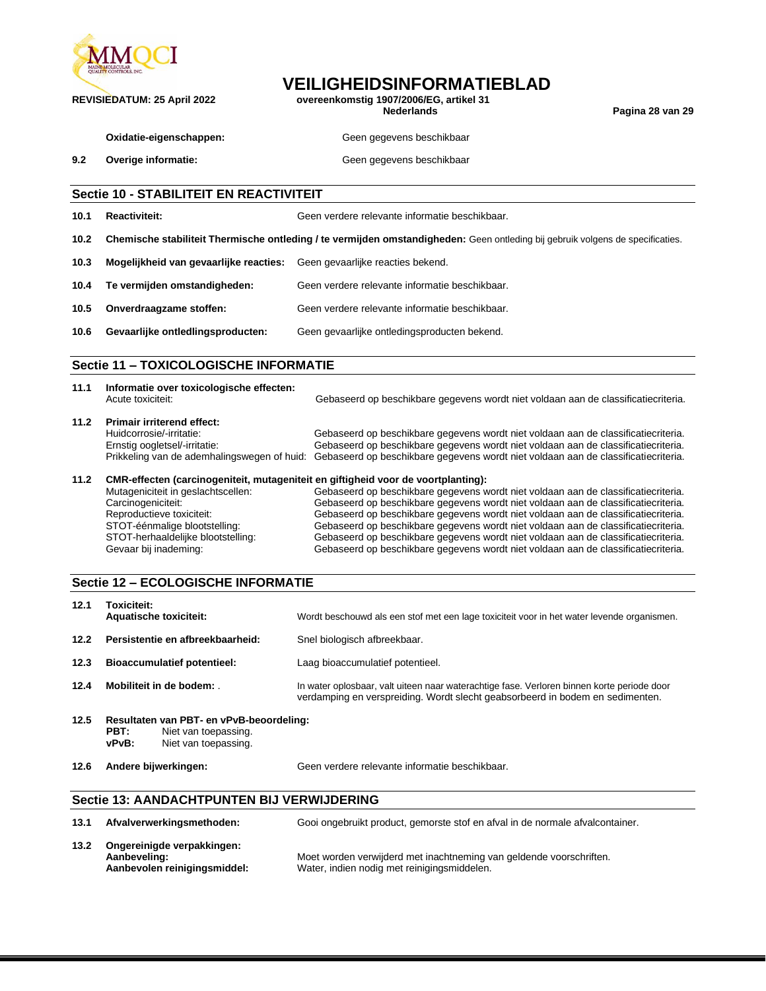

**REVISIEDATUM: 25 April 2022 overeenkomstig 1907/2006/EG, artikel 31**

**Nederlands Pagina 28 van 29**

**Oxidatie-eigenschappen:** Geen gegevens beschikbaar

**9.2 Overige informatie: COVER 10 <b>CEEN SECULAR** Geen gegevens beschikbaar

#### **Sectie 10 - STABILITEIT EN REACTIVITEIT**

| 10.1 | <b>Reactiviteit:</b>                   | Geen verdere relevante informatie beschikbaar.                                                                                 |
|------|----------------------------------------|--------------------------------------------------------------------------------------------------------------------------------|
| 10.2 |                                        | Chemische stabiliteit Thermische ontleding / te vermijden omstandigheden: Geen ontleding bij gebruik volgens de specificaties. |
| 10.3 | Mogelijkheid van gevaarlijke reacties: | Geen gevaarlijke reacties bekend.                                                                                              |
| 10.4 | Te vermijden omstandigheden:           | Geen verdere relevante informatie beschikbaar.                                                                                 |
| 10.5 | Onverdraagzame stoffen:                | Geen verdere relevante informatie beschikbaar.                                                                                 |
| 10.6 | Gevaarlijke ontledlingsproducten:      | Geen gevaarlijke ontledingsproducten bekend.                                                                                   |
|      |                                        |                                                                                                                                |

### **Sectie 11 – TOXICOLOGISCHE INFORMATIE**

| 11.1 | Informatie over toxicologische effecten:<br>Acute toxiciteit:                                  | Gebaseerd op beschikbare gegevens wordt niet voldaan aan de classificatiecriteria.                                                                                                                                                                                                                         |
|------|------------------------------------------------------------------------------------------------|------------------------------------------------------------------------------------------------------------------------------------------------------------------------------------------------------------------------------------------------------------------------------------------------------------|
| 11.2 | <b>Primair irriterend effect:</b><br>Huidcorrosie/-irritatie:<br>Ernstig oogletsel/-irritatie: | Gebaseerd op beschikbare gegevens wordt niet voldaan aan de classificatiecriteria.<br>Gebaseerd op beschikbare gegevens wordt niet voldaan aan de classificatiecriteria.<br>Prikkeling van de ademhalingswegen of huid: Gebaseerd op beschikbare gegevens wordt niet voldaan aan de classificatiecriteria. |
| 11.2 | CMR-effecten (carcinogeniteit, mutageniteit en giftigheid voor de voortplanting):              |                                                                                                                                                                                                                                                                                                            |
|      | Mutageniciteit in geslachtscellen:                                                             | Gebaseerd op beschikbare gegevens wordt niet voldaan aan de classificatiecriteria.                                                                                                                                                                                                                         |
|      | Carcinogeniciteit:                                                                             | Gebaseerd op beschikbare gegevens wordt niet voldaan aan de classificatiecriteria.                                                                                                                                                                                                                         |
|      |                                                                                                |                                                                                                                                                                                                                                                                                                            |

#### Reproductieve toxiciteit: Gebaseerd op beschikbare gegevens wordt niet voldaan aan de classificatiecriteria.<br>STOT-éénmalige blootstelling: Gebaseerd op beschikbare gegevens wordt niet voldaan aan de classificatiecriteria. STOT-éénmalige blootstelling: Gebaseerd op beschikbare gegevens wordt niet voldaan aan de classificatiecriteria.<br>STOT-herhaaldelijke blootstelling: Gebaseerd op beschikbare gegevens wordt niet voldaan aan de classificatiec STOT-herhaaldelijke blootstelling: Gebaseerd op beschikbare gegevens wordt niet voldaan aan de classificatiecriteria.<br>Gebaseerd op beschikbare gegevens wordt niet voldaan aan de classificatiecriteria. Gebaseerd op beschikbare gegevens wordt niet voldaan aan de classificatiecriteria.

#### **Sectie 12 – ECOLOGISCHE INFORMATIE**

| 12.1 | Toxiciteit:<br><b>Aquatische toxiciteit:</b>                                                              | Wordt beschouwd als een stof met een lage toxiciteit voor in het water levende organismen.                                                                                  |
|------|-----------------------------------------------------------------------------------------------------------|-----------------------------------------------------------------------------------------------------------------------------------------------------------------------------|
| 12.2 | Persistentie en afbreekbaarheid:                                                                          | Snel biologisch afbreekbaar.                                                                                                                                                |
| 12.3 | <b>Bioaccumulatief potentieel:</b>                                                                        | Laag bioaccumulatief potentieel.                                                                                                                                            |
| 12.4 | Mobiliteit in de bodem:                                                                                   | In water oplosbaar, valt uiteen naar waterachtige fase. Verloren binnen korte periode door<br>verdamping en verspreiding. Wordt slecht geabsorbeerd in bodem en sedimenten. |
| 12.5 | Resultaten van PBT- en vPvB-beoordeling:<br>PBT:<br>Niet van toepassing.<br>vPvB:<br>Niet van toepassing. |                                                                                                                                                                             |

**12.6 Andere bijwerkingen:** Geen verdere relevante informatie beschikbaar.

#### **Sectie 13: AANDACHTPUNTEN BIJ VERWIJDERING**

| 13.1 | Afvalverwerkingsmethoden:                                                  | Gooi ongebruikt product, gemorste stof en afval in de normale afvalcontainer.                                      |
|------|----------------------------------------------------------------------------|--------------------------------------------------------------------------------------------------------------------|
| 13.2 | Ongereinigde verpakkingen:<br>Aanbeveling:<br>Aanbevolen reinigingsmiddel: | Moet worden verwijderd met inachtneming van geldende voorschriften.<br>Water, indien nodig met reinigingsmiddelen. |